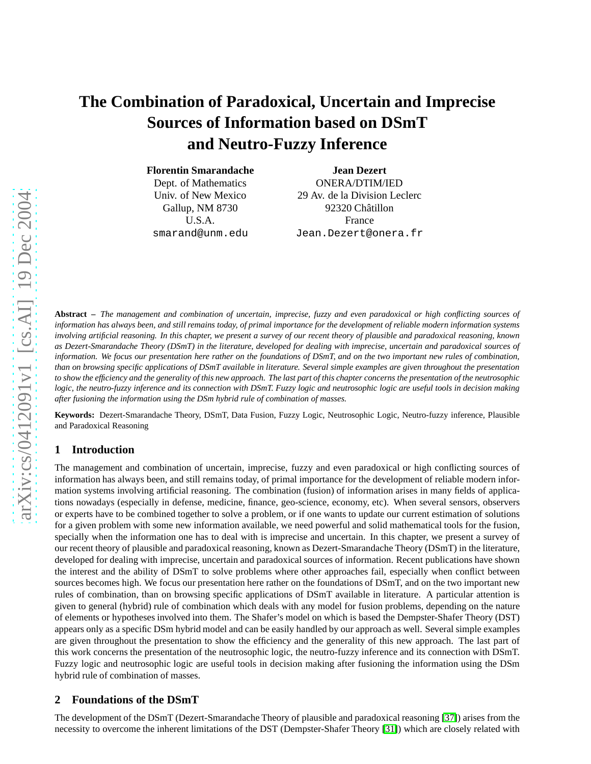# **The Combination of Paradoxical, Uncertain and Imprecise Sources of Information based on DSmT and Neutro-Fuzzy Inference**

**Florentin Smarandache Jean Dezert**

Dept. of Mathematics ONERA/DTIM/IED Univ. of New Mexico 29 Av. de la Division Leclerc Gallup, NM 8730 92320 Châtillon U.S.A. France smarand@unm.edu Jean.Dezert@onera.fr

**Abstract –** *The management and combination of uncertain, imprecise, fuzzy and even paradoxical or high conflicting sources of information has always been, and still remains today, of primal importance for the development of reliable modern information systems involving artificial reasoning. In this chapter, we present a survey of our recent theory of plausible and paradoxical reasoning, known as Dezert-Smarandache Theory (DSmT) in the literature, developed for dealing with imprecise, uncertain and paradoxical sources of information. We focus our presentation here rather on the foundations of DSmT, and on the two important new rules of combination, than on browsing specific applications of DSmT available in literature. Several simple examples are given throughout the presentation to show the efficiency and the generality of this new approach. The last part of this chapter concerns the presentation of the neutrosophic logic, the neutro-fuzzy inference and its connection with DSmT. Fuzzy logic and neutrosophic logic are useful tools in decision making after fusioning the information using the DSm hybrid rule of combination of masses.*

**Keywords:** Dezert-Smarandache Theory, DSmT, Data Fusion, Fuzzy Logic, Neutrosophic Logic, Neutro-fuzzy inference, Plausible and Paradoxical Reasoning

# **1 Introduction**

The management and combination of uncertain, imprecise, fuzzy and even paradoxical or high conflicting sources of information has always been, and still remains today, of primal importance for the development of reliable modern information systems involving artificial reasoning. The combination (fusion) of information arises in many fields of applications nowadays (especially in defense, medicine, finance, geo-science, economy, etc). When several sensors, observers or experts have to be combined together to solve a problem, or if one wants to update our current estimation of solutions for a given problem with some new information available, we need powerful and solid mathematical tools for the fusion, specially when the information one has to deal with is imprecise and uncertain. In this chapter, we present a survey of our recent theory of plausible and paradoxical reasoning, known as Dezert-Smarandache Theory (DSmT) in the literature, developed for dealing with imprecise, uncertain and paradoxical sources of information. Recent publications have shown the interest and the ability of DSmT to solve problems where other approaches fail, especially when conflict between sources becomes high. We focus our presentation here rather on the foundations of DSmT, and on the two important new rules of combination, than on browsing specific applications of DSmT available in literature. A particular attention is given to general (hybrid) rule of combination which deals with any model for fusion problems, depending on the nature of elements or hypotheses involved into them. The Shafer's model on which is based the Dempster-Shafer Theory (DST) appears only as a specific DSm hybrid model and can be easily handled by our approach as well. Several simple examples are given throughout the presentation to show the efficiency and the generality of this new approach. The last part of this work concerns the presentation of the neutrosophic logic, the neutro-fuzzy inference and its connection with DSmT. Fuzzy logic and neutrosophic logic are useful tools in decision making after fusioning the information using the DSm hybrid rule of combination of masses.

# **2 Foundations of the DSmT**

The development of the DSmT (Dezert-Smarandache Theory of plausible and paradoxical reasoning [\[37\]](#page-19-0)) arises from the necessity to overcome the inherent limitations of the DST (Dempster-Shafer Theory [\[31\]](#page-18-0)) which are closely related with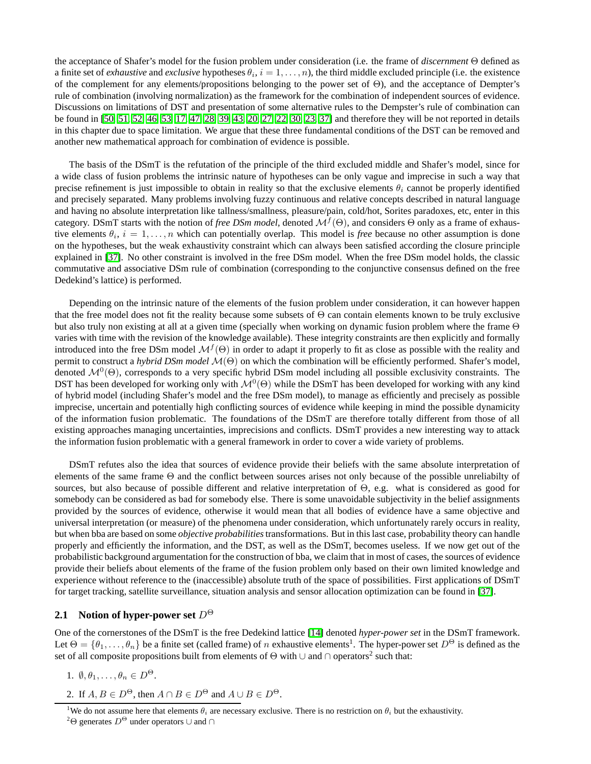the acceptance of Shafer's model for the fusion problem under consideration (i.e. the frame of *discernment* Θ defined as a finite set of *exhaustive* and *exclusive* hypotheses  $\theta_i$ ,  $i = 1, \ldots, n$ , the third middle excluded principle (i.e. the existence of the complement for any elements/propositions belonging to the power set of Θ), and the acceptance of Dempter's rule of combination (involving normalization) as the framework for the combination of independent sources of evidence. Discussions on limitations of DST and presentation of some alternative rules to the Dempster's rule of combination can be found in [\[50,](#page-19-1) [51,](#page-19-2) [52,](#page-19-3) [46,](#page-19-4) [53,](#page-19-5) [17,](#page-18-1) [47,](#page-19-6) [28,](#page-18-2) [39,](#page-19-7) [43,](#page-19-8) [20,](#page-18-3) [27,](#page-18-4) [22,](#page-18-5) [30,](#page-18-6) [23,](#page-18-7) [37\]](#page-19-0) and therefore they will be not reported in details in this chapter due to space limitation. We argue that these three fundamental conditions of the DST can be removed and another new mathematical approach for combination of evidence is possible.

The basis of the DSmT is the refutation of the principle of the third excluded middle and Shafer's model, since for a wide class of fusion problems the intrinsic nature of hypotheses can be only vague and imprecise in such a way that precise refinement is just impossible to obtain in reality so that the exclusive elements  $\theta_i$  cannot be properly identified and precisely separated. Many problems involving fuzzy continuous and relative concepts described in natural language and having no absolute interpretation like tallness/smallness, pleasure/pain, cold/hot, Sorites paradoxes, etc, enter in this category. DSmT starts with the notion of *free DSm model*, denoted  $\mathcal{M}^f(\Theta)$ , and considers  $\Theta$  only as a frame of exhaustive elements  $\theta_i$ ,  $i = 1, \ldots, n$  which can potentially overlap. This model is *free* because no other assumption is done on the hypotheses, but the weak exhaustivity constraint which can always been satisfied according the closure principle explained in [\[37\]](#page-19-0). No other constraint is involved in the free DSm model. When the free DSm model holds, the classic commutative and associative DSm rule of combination (corresponding to the conjunctive consensus defined on the free Dedekind's lattice) is performed.

Depending on the intrinsic nature of the elements of the fusion problem under consideration, it can however happen that the free model does not fit the reality because some subsets of Θ can contain elements known to be truly exclusive but also truly non existing at all at a given time (specially when working on dynamic fusion problem where the frame Θ varies with time with the revision of the knowledge available). These integrity constraints are then explicitly and formally introduced into the free DSm model  $\mathcal{M}^f(\Theta)$  in order to adapt it properly to fit as close as possible with the reality and permit to construct a *hybrid DSm model* M(Θ) on which the combination will be efficiently performed. Shafer's model, denoted  $\mathcal{M}^0(\Theta)$ , corresponds to a very specific hybrid DSm model including all possible exclusivity constraints. The DST has been developed for working only with  $\mathcal{M}^0(\Theta)$  while the DSmT has been developed for working with any kind of hybrid model (including Shafer's model and the free DSm model), to manage as efficiently and precisely as possible imprecise, uncertain and potentially high conflicting sources of evidence while keeping in mind the possible dynamicity of the information fusion problematic. The foundations of the DSmT are therefore totally different from those of all existing approaches managing uncertainties, imprecisions and conflicts. DSmT provides a new interesting way to attack the information fusion problematic with a general framework in order to cover a wide variety of problems.

DSmT refutes also the idea that sources of evidence provide their beliefs with the same absolute interpretation of elements of the same frame Θ and the conflict between sources arises not only because of the possible unreliabilty of sources, but also because of possible different and relative interpretation of Θ, e.g. what is considered as good for somebody can be considered as bad for somebody else. There is some unavoidable subjectivity in the belief assignments provided by the sources of evidence, otherwise it would mean that all bodies of evidence have a same objective and universal interpretation (or measure) of the phenomena under consideration, which unfortunately rarely occurs in reality, but when bba are based on some *objective probabilities*transformations. But in this last case, probability theory can handle properly and efficiently the information, and the DST, as well as the DSmT, becomes useless. If we now get out of the probabilistic background argumentation for the construction of bba, we claim that in most of cases, the sources of evidence provide their beliefs about elements of the frame of the fusion problem only based on their own limited knowledge and experience without reference to the (inaccessible) absolute truth of the space of possibilities. First applications of DSmT for target tracking, satellite surveillance, situation analysis and sensor allocation optimization can be found in [\[37\]](#page-19-0).

# **2.1 Notion of hyper-power set** D<sup>Θ</sup>

One of the cornerstones of the DSmT is the free Dedekind lattice [\[14\]](#page-18-8) denoted *hyper-power set* in the DSmT framework. Let  $\Theta = \{\theta_1,\ldots,\theta_n\}$  be a finite set (called frame) of n exhaustive elements<sup>1</sup>. The hyper-power set  $D^\Theta$  is defined as the set of all composite propositions built from elements of  $\Theta$  with  $\cup$  and  $\cap$  operators<sup>2</sup> such that:

1. 
$$
\emptyset, \theta_1, \ldots, \theta_n \in D^{\Theta}
$$
.

2. If  $A, B \in D^{\Theta}$ , then  $A \cap B \in D^{\Theta}$  and  $A \cup B \in D^{\Theta}$ .

<sup>&</sup>lt;sup>1</sup>We do not assume here that elements  $\theta_i$  are necessary exclusive. There is no restriction on  $\theta_i$  but the exhaustivity.

<sup>&</sup>lt;sup>2</sup> $\Theta$  generates  $D^{\Theta}$  under operators  $\cup$  and  $\cap$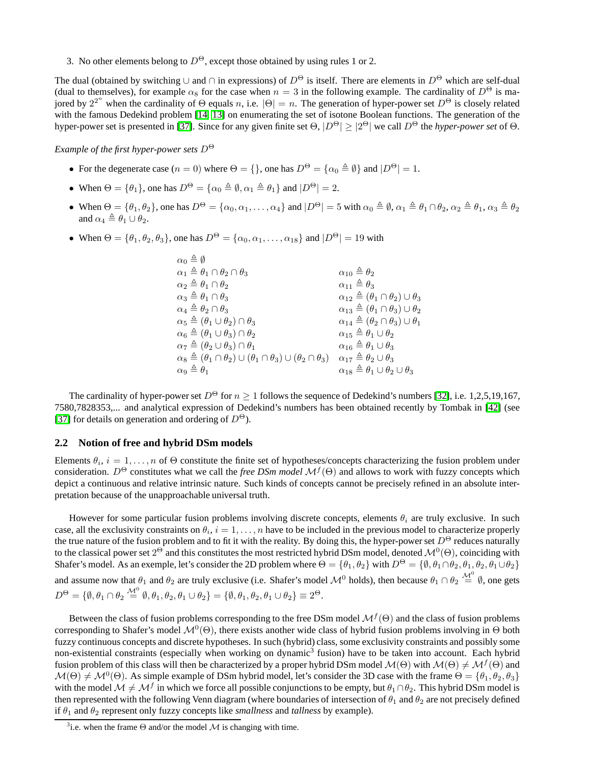3. No other elements belong to  $D^{\Theta}$ , except those obtained by using rules 1 or 2.

The dual (obtained by switching  $\cup$  and  $\cap$  in expressions) of  $D^{\Theta}$  is itself. There are elements in  $D^{\Theta}$  which are self-dual (dual to themselves), for example  $\alpha_8$  for the case when  $n = 3$  in the following example. The cardinality of  $D^\Theta$  is majored by  $2^{2^n}$  when the cardinality of  $\Theta$  equals n, i.e.  $|\Theta| = n$ . The generation of hyper-power set  $D^{\Theta}$  is closely related with the famous Dedekind problem [\[14,](#page-18-8) [13\]](#page-18-9) on enumerating the set of isotone Boolean functions. The generation of the hyper-power set is presented in [\[37\]](#page-19-0). Since for any given finite set  $\Theta$ ,  $|D^{\Theta}| \ge |2^{\Theta}|$  we call  $D^{\Theta}$  the *hyper-power set* of  $\Theta$ .

*Example of the first hyper-power sets* D<sup>Θ</sup>

- For the degenerate case  $(n = 0)$  where  $\Theta = \{\}$ , one has  $D^{\Theta} = \{\alpha_0 \triangleq \emptyset\}$  and  $|D^{\Theta}| = 1$ .
- When  $\Theta = {\theta_1}$ , one has  $D^{\Theta} = {\alpha_0 \triangleq \emptyset, \alpha_1 \triangleq \theta_1}$  and  $|D^{\Theta}| = 2$ .
- When  $\Theta = {\theta_1, \theta_2}$ , one has  $D^{\Theta} = {\alpha_0, \alpha_1, \dots, \alpha_4}$  and  $|D^{\Theta}| = 5$  with  $\alpha_0 \triangleq \emptyset$ ,  $\alpha_1 \triangleq \theta_1 \cap \theta_2$ ,  $\alpha_2 \triangleq \theta_1$ ,  $\alpha_3 \triangleq \theta_2$ and  $\alpha_4 \triangleq \theta_1 \cup \theta_2$ .
- When  $\Theta = {\theta_1, \theta_2, \theta_3}$ , one has  $D^{\Theta} = {\alpha_0, \alpha_1, \dots, \alpha_{18}}$  and  $|D^{\Theta}| = 19$  with

| $\alpha_0 \triangleq \emptyset$                                                                            |                                                                 |
|------------------------------------------------------------------------------------------------------------|-----------------------------------------------------------------|
| $\alpha_1 \triangleq \theta_1 \cap \theta_2 \cap \theta_3$                                                 | $\alpha_{10} \triangleq \theta_2$                               |
| $\alpha_2 \triangleq \theta_1 \cap \theta_2$                                                               | $\alpha_{11} \triangleq \theta_3$                               |
| $\alpha_3 \triangleq \theta_1 \cap \theta_3$                                                               | $\alpha_{12} \triangleq (\theta_1 \cap \theta_2) \cup \theta_3$ |
| $\alpha_4 \triangleq \theta_2 \cap \theta_3$                                                               | $\alpha_{13} \triangleq (\theta_1 \cap \theta_3) \cup \theta_2$ |
| $\alpha_5 \triangleq (\theta_1 \cup \theta_2) \cap \theta_3$                                               | $\alpha_{14} \triangleq (\theta_2 \cap \theta_3) \cup \theta_1$ |
| $\alpha_6 \triangleq (\theta_1 \cup \theta_3) \cap \theta_2$                                               | $\alpha_{15} \triangleq \theta_1 \cup \theta_2$                 |
| $\alpha_7 \triangleq (\theta_2 \cup \theta_3) \cap \theta_1$                                               | $\alpha_{16} \triangleq \theta_1 \cup \theta_3$                 |
| $\alpha_8 \triangleq (\theta_1 \cap \theta_2) \cup (\theta_1 \cap \theta_3) \cup (\theta_2 \cap \theta_3)$ | $\alpha_{17} \triangleq \theta_2 \cup \theta_3$                 |
| $\alpha_9 \triangleq \theta_1$                                                                             | $\alpha_{18} \triangleq \theta_1 \cup \theta_2 \cup \theta_3$   |

The cardinality of hyper-power set  $D^{\Theta}$  for  $n \ge 1$  follows the sequence of Dedekind's numbers [\[32\]](#page-18-10), i.e. 1,2,5,19,167, 7580,7828353,... and analytical expression of Dedekind's numbers has been obtained recently by Tombak in [\[42\]](#page-19-9) (see [\[37\]](#page-19-0) for details on generation and ordering of  $D^{\Theta}$ ).

# <span id="page-2-0"></span>**2.2 Notion of free and hybrid DSm models**

Elements  $\theta_i$ ,  $i = 1, \ldots, n$  of  $\Theta$  constitute the finite set of hypotheses/concepts characterizing the fusion problem under consideration.  $D^{\Theta}$  constitutes what we call the *free DSm model*  $\mathcal{M}^f(\Theta)$  and allows to work with fuzzy concepts which depict a continuous and relative intrinsic nature. Such kinds of concepts cannot be precisely refined in an absolute interpretation because of the unapproachable universal truth.

However for some particular fusion problems involving discrete concepts, elements  $\theta_i$  are truly exclusive. In such case, all the exclusivity constraints on  $\theta_i$ ,  $i = 1, \ldots, n$  have to be included in the previous model to characterize properly the true nature of the fusion problem and to fit it with the reality. By doing this, the hyper-power set  $D^{\Theta}$  reduces naturally to the classical power set  $2^\Theta$  and this constitutes the most restricted hybrid DSm model, denoted  $\mathcal{M}^0(\Theta)$ , coinciding with Shafer's model. As an exemple, let's consider the 2D problem where  $\Theta = {\theta_1, \theta_2}$  with  $D^\Theta = {\emptyset, \theta_1 \cap \theta_2, \theta_1, \theta_2, \theta_1 \cup \theta_2}$ and assume now that  $\theta_1$  and  $\theta_2$  are truly exclusive (i.e. Shafer's model  $\mathcal{M}^0$  holds), then because  $\theta_1 \cap \theta_2 \stackrel{\mathcal{M}^0}{=} \emptyset$ , one gets  $D^\Theta = \{ \emptyset, \theta_1 \cap \theta_2 \stackrel{\mathcal{M}^0}{=} \emptyset, \theta_1, \theta_2, \theta_1 \cup \theta_2 \} = \{ \emptyset, \theta_1, \theta_2, \theta_1 \cup \theta_2 \} \equiv 2^\Theta.$ 

Between the class of fusion problems corresponding to the free DSm model  $\mathcal{M}^f(\Theta)$  and the class of fusion problems corresponding to Shafer's model  $\mathcal{M}^0(\Theta)$ , there exists another wide class of hybrid fusion problems involving in  $\Theta$  both fuzzy continuous concepts and discrete hypotheses. In such (hybrid) class, some exclusivity constraints and possibly some non-existential constraints (especially when working on dynamic<sup>3</sup> fusion) have to be taken into account. Each hybrid fusion problem of this class will then be characterized by a proper hybrid DSm model  $\mathcal{M}(\Theta)$  with  $\mathcal{M}(\Theta)\neq \mathcal{M}^f(\Theta)$  and  $M(\Theta) \neq M^0(\Theta)$ . As simple example of DSm hybrid model, let's consider the 3D case with the frame  $\Theta = \{\theta_1, \theta_2, \theta_3\}$ with the model  $M \neq M^f$  in which we force all possible conjunctions to be empty, but  $\theta_1 \cap \theta_2$ . This hybrid DSm model is then represented with the following Venn diagram (where boundaries of intersection of  $\theta_1$  and  $\theta_2$  are not precisely defined if  $\theta_1$  and  $\theta_2$  represent only fuzzy concepts like *smallness* and *tallness* by example).

<sup>&</sup>lt;sup>3</sup>i.e. when the frame  $\Theta$  and/or the model  $\mathcal M$  is changing with time.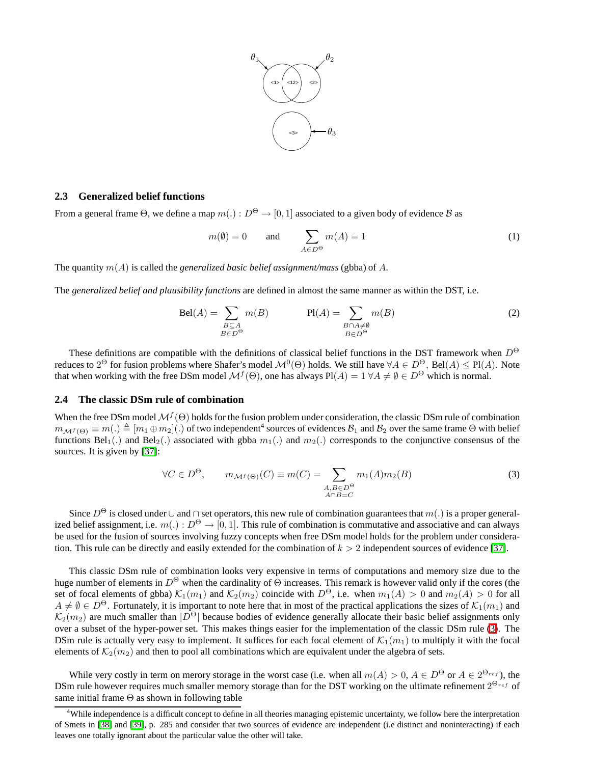

# **2.3 Generalized belief functions**

From a general frame Θ, we define a map  $m(.) : D^{\Theta} \to [0, 1]$  associated to a given body of evidence  $B$  as

$$
m(\emptyset) = 0 \qquad \text{and} \qquad \sum_{A \in D^{\Theta}} m(A) = 1 \tag{1}
$$

The quantity  $m(A)$  is called the *generalized basic belief assignment/mass* (gbba) of A.

The *generalized belief and plausibility functions* are defined in almost the same manner as within the DST, i.e.

$$
Bel(A) = \sum_{\substack{B \subseteq A \\ B \in D^{\Theta}}} m(B) \qquad \qquad Pl(A) = \sum_{\substack{B \cap A \neq \emptyset \\ B \in D^{\Theta}}} m(B) \qquad (2)
$$

These definitions are compatible with the definitions of classical belief functions in the DST framework when  $D^{\Theta}$ reduces to 2<sup>⊖</sup> for fusion problems where Shafer's model  $\mathcal{M}^0(\Theta)$  holds. We still have  $\forall A \in D^\Theta,$  Bel $(A) \leq Pl(A)$ . Note that when working with the free DSm model  $\mathcal{M}^f(\Theta)$ , one has always  $Pl(A) = 1 \ \forall A \neq \emptyset \in D^{\Theta}$  which is normal.

#### **2.4 The classic DSm rule of combination**

<span id="page-3-0"></span>When the free DSm model  $\mathcal{M}^f(\Theta)$  holds for the fusion problem under consideration, the classic DSm rule of combination  $m_{\mathcal{M}^f(\Theta)} \equiv m(.) \triangleq [m_1 \oplus m_2](.)$  of two independent<sup>4</sup> sources of evidences  $B_1$  and  $B_2$  over the same frame  $\Theta$  with belief functions Bel<sub>1</sub>(.) and Bel<sub>2</sub>(.) associated with gbba  $m_1(.)$  and  $m_2(.)$  corresponds to the conjunctive consensus of the sources. It is given by [\[37\]](#page-19-0):

$$
\forall C \in D^{\Theta}, \qquad m_{\mathcal{M}^f(\Theta)}(C) \equiv m(C) = \sum_{\substack{A, B \in D^{\Theta} \\ A \cap B = C}} m_1(A) m_2(B)
$$
 (3)

Since  $D^{\Theta}$  is closed under  $\cup$  and  $\cap$  set operators, this new rule of combination guarantees that  $m(.)$  is a proper generalized belief assignment, i.e.  $m(.) : D^{\Theta} \to [0, 1]$ . This rule of combination is commutative and associative and can always be used for the fusion of sources involving fuzzy concepts when free DSm model holds for the problem under consideration. This rule can be directly and easily extended for the combination of  $k > 2$  independent sources of evidence [\[37\]](#page-19-0).

This classic DSm rule of combination looks very expensive in terms of computations and memory size due to the huge number of elements in  $D^{\Theta}$  when the cardinality of  $\Theta$  increases. This remark is however valid only if the cores (the set of focal elements of gbba)  $\mathcal{K}_1(m_1)$  and  $\mathcal{K}_2(m_2)$  coincide with  $D^{\Theta}$ , i.e. when  $m_1(A) > 0$  and  $m_2(A) > 0$  for all  $A \neq \emptyset \in D^{\Theta}$ . Fortunately, it is important to note here that in most of the practical applications the sizes of  $\mathcal{K}_1(m_1)$  and  $\mathcal{K}_2(m_2)$  are much smaller than  $|D^{\Theta}|$  because bodies of evidence generally allocate their basic belief assignments only over a subset of the hyper-power set. This makes things easier for the implementation of the classic DSm rule [\(3\)](#page-3-0). The DSm rule is actually very easy to implement. It suffices for each focal element of  $\mathcal{K}_1(m_1)$  to multiply it with the focal elements of  $K_2(m_2)$  and then to pool all combinations which are equivalent under the algebra of sets.

While very costly in term on merory storage in the worst case (i.e. when all  $m(A) > 0$ ,  $A \in D^{\Theta}$  or  $A \in 2^{\Theta_{ref}}$ ), the DSm rule however requires much smaller memory storage than for the DST working on the ultimate refinement  $2^{\Theta_{ref}}$  of same initial frame  $\Theta$  as shown in following table

<sup>4</sup>While independence is a difficult concept to define in all theories managing epistemic uncertainty, we follow here the interpretation of Smets in [\[38\]](#page-19-10) and [\[39\]](#page-19-7), p. 285 and consider that two sources of evidence are independent (i.e distinct and noninteracting) if each leaves one totally ignorant about the particular value the other will take.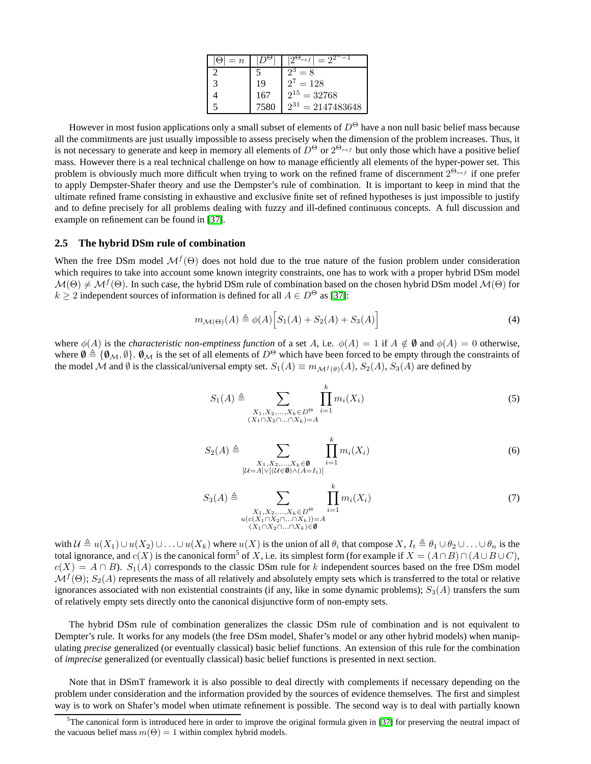| $= n$ |      | $\left\vert \mathfrak{H}_{ref}\right\vert$<br>$= 2^{2}$ |
|-------|------|---------------------------------------------------------|
|       |      | $= 8$                                                   |
|       | 19   | $= 128$<br>$2^{\prime}$                                 |
|       | 167  | $2^{15} = 32768$                                        |
|       | 7580 | $2^{31} = 2147483648$                                   |

However in most fusion applications only a small subset of elements of  $D^{\Theta}$  have a non null basic belief mass because all the commitments are just usually impossible to assess precisely when the dimension of the problem increases. Thus, it is not necessary to generate and keep in memory all elements of  $D^\Theta$  or  $2^{\Theta_{ref}}$  but only those which have a positive belief mass. However there is a real technical challenge on how to manage efficiently all elements of the hyper-power set. This problem is obviously much more difficult when trying to work on the refined frame of discernment  $2^{\Theta_{ref}}$  if one prefer to apply Dempster-Shafer theory and use the Dempster's rule of combination. It is important to keep in mind that the ultimate refined frame consisting in exhaustive and exclusive finite set of refined hypotheses is just impossible to justify and to define precisely for all problems dealing with fuzzy and ill-defined continuous concepts. A full discussion and example on refinement can be found in [\[37\]](#page-19-0).

## **2.5 The hybrid DSm rule of combination**

When the free DSm model  $\mathcal{M}^f(\Theta)$  does not hold due to the true nature of the fusion problem under consideration which requires to take into account some known integrity constraints, one has to work with a proper hybrid DSm model  $\mathcal{M}(\Theta) \neq \mathcal{M}^f(\Theta)$ . In such case, the hybrid DSm rule of combination based on the chosen hybrid DSm model  $\mathcal{M}(\Theta)$  for  $k > 2$  independent sources of information is defined for all  $A \in D^{\Theta}$  as [\[37\]](#page-19-0):

<span id="page-4-0"></span>
$$
m_{\mathcal{M}(\Theta)}(A) \triangleq \phi(A) \Big[ S_1(A) + S_2(A) + S_3(A) \Big] \tag{4}
$$

where  $\phi(A)$  is the *characteristic non-emptiness function* of a set A, i.e.  $\phi(A) = 1$  if  $A \notin \mathcal{O}$  and  $\phi(A) = 0$  otherwise, where  $\emptyset \triangleq {\emptyset_{\mathcal{M}}}, \emptyset$ .  $\emptyset_{\mathcal{M}}$  is the set of all elements of  $D^{\Theta}$  which have been forced to be empty through the constraints of the model M and  $\emptyset$  is the classical/universal empty set.  $S_1(A) \equiv m_{\mathcal{M}^f(\theta)}(A), S_2(A), S_3(A)$  are defined by

$$
S_1(A) \triangleq \sum_{\substack{X_1, X_2, ..., X_k \in D^{\Theta} \\ (X_1 \cap X_2 \cap ... \cap X_k) = A}} \prod_{i=1}^k m_i(X_i)
$$
 (5)

$$
S_2(A) \triangleq \sum_{\substack{X_1, X_2, \dots, X_k \in \mathbf{0} \\ |\mathcal{U}=A] \vee [(\mathcal{U}\in\mathbf{0}) \wedge (A=I_t)]}} \prod_{i=1}^k m_i(X_i)
$$
(6)

$$
S_3(A) \triangleq \sum_{\substack{X_1, X_2, \dots, X_k \in D^\Theta \\ u(c(X_1 \cap X_2 \cap \dots \cap X_k)) = A \\ (X_1 \cap X_2 \cap \dots \cap X_k) \in \mathbf{0}}} \prod_{i=1}^k m_i(X_i)
$$
(7)

with  $\mathcal{U} \triangleq u(X_1) \cup u(X_2) \cup \ldots \cup u(X_k)$  where  $u(X)$  is the union of all  $\theta_i$  that compose  $X, I_t \triangleq \theta_1 \cup \theta_2 \cup \ldots \cup \theta_n$  is the total ignorance, and  $c(X)$  is the canonical form<sup>5</sup> of X, i.e. its simplest form (for example if  $X = (A \cap B) \cap (A \cup B \cup C)$ ,  $c(X) = A \cap B$ ).  $S_1(A)$  corresponds to the classic DSm rule for k independent sources based on the free DSm model  $\mathcal{M}^f(\Theta); S_2(A)$  represents the mass of all relatively and absolutely empty sets which is transferred to the total or relative ignorances associated with non existential constraints (if any, like in some dynamic problems);  $S_3(A)$  transfers the sum of relatively empty sets directly onto the canonical disjunctive form of non-empty sets.

The hybrid DSm rule of combination generalizes the classic DSm rule of combination and is not equivalent to Dempter's rule. It works for any models (the free DSm model, Shafer's model or any other hybrid models) when manipulating *precise* generalized (or eventually classical) basic belief functions. An extension of this rule for the combination of *imprecise* generalized (or eventually classical) basic belief functions is presented in next section.

Note that in DSmT framework it is also possible to deal directly with complements if necessary depending on the problem under consideration and the information provided by the sources of evidence themselves. The first and simplest way is to work on Shafer's model when utimate refinement is possible. The second way is to deal with partially known

 $5$ The canonical form is introduced here in order to improve the original formula given in [\[37\]](#page-19-0) for preserving the neutral impact of the vacuous belief mass  $m(\Theta) = 1$  within complex hybrid models.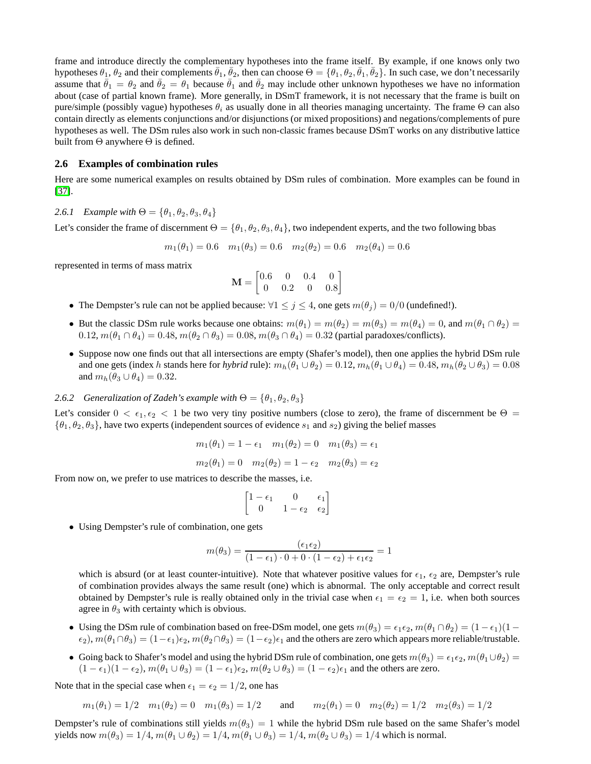frame and introduce directly the complementary hypotheses into the frame itself. By example, if one knows only two hypotheses  $\theta_1$ ,  $\theta_2$  and their complements  $\bar{\theta}_1$ ,  $\bar{\theta}_2$ , then can choose  $\Theta = {\theta_1, \theta_2, \bar{\theta}_1, \bar{\theta}_2}$ . In such case, we don't necessarily assume that  $\bar{\theta}_1 = \theta_2$  and  $\bar{\theta}_2 = \theta_1$  because  $\bar{\theta}_1$  and  $\bar{\theta}_2$  may include other unknown hypotheses we have no information about (case of partial known frame). More generally, in DSmT framework, it is not necessary that the frame is built on pure/simple (possibly vague) hypotheses  $\theta_i$  as usually done in all theories managing uncertainty. The frame Θ can also contain directly as elements conjunctions and/or disjunctions (or mixed propositions) and negations/complements of pure hypotheses as well. The DSm rules also work in such non-classic frames because DSmT works on any distributive lattice built from  $\Theta$  anywhere  $\Theta$  is defined.

## **2.6 Examples of combination rules**

Here are some numerical examples on results obtained by DSm rules of combination. More examples can be found in [\[37\]](#page-19-0).

2.6.1 Example with  $\Theta = \{\theta_1, \theta_2, \theta_3, \theta_4\}$ 

Let's consider the frame of discernment  $\Theta = \{\theta_1, \theta_2, \theta_3, \theta_4\}$ , two independent experts, and the two following bbas

$$
m_1(\theta_1) = 0.6 \quad m_1(\theta_3) = 0.6 \quad m_2(\theta_2) = 0.6 \quad m_2(\theta_4) = 0.6
$$

represented in terms of mass matrix

 $\mathbf{M} = \begin{bmatrix} 0.6 & 0 & 0.4 & 0 \\ 0 & 0.2 & 0 & 0 \end{bmatrix}$ 0 0.2 0 0.8 1

- The Dempster's rule can not be applied because:  $\forall 1 \leq j \leq 4$ , one gets  $m(\theta_j) = 0/0$  (undefined!).
- But the classic DSm rule works because one obtains:  $m(\theta_1) = m(\theta_2) = m(\theta_3) = m(\theta_4) = 0$ , and  $m(\theta_1 \cap \theta_2) =$  $0.12, m(\theta_1 \cap \theta_4) = 0.48, m(\theta_2 \cap \theta_3) = 0.08, m(\theta_3 \cap \theta_4) = 0.32$  (partial paradoxes/conflicts).
- Suppose now one finds out that all intersections are empty (Shafer's model), then one applies the hybrid DSm rule and one gets (index h stands here for hybrid rule):  $m_h(\theta_1 \cup \theta_2) = 0.12$ ,  $m_h(\theta_1 \cup \theta_4) = 0.48$ ,  $m_h(\theta_2 \cup \theta_3) = 0.08$ and  $m_h(\theta_3 \cup \theta_4) = 0.32$ .

## 2.6.2 *Generalization of Zadeh's example with*  $\Theta = {\theta_1, \theta_2, \theta_3}$

Let's consider  $0 < \epsilon_1, \epsilon_2 < 1$  be two very tiny positive numbers (close to zero), the frame of discernment be  $\Theta =$  $\{\theta_1, \theta_2, \theta_3\}$ , have two experts (independent sources of evidence  $s_1$  and  $s_2$ ) giving the belief masses

$$
m_1(\theta_1) = 1 - \epsilon_1 \quad m_1(\theta_2) = 0 \quad m_1(\theta_3) = \epsilon_1
$$
  

$$
m_2(\theta_1) = 0 \quad m_2(\theta_2) = 1 - \epsilon_2 \quad m_2(\theta_3) = \epsilon_2
$$

From now on, we prefer to use matrices to describe the masses, i.e.

$$
\begin{bmatrix} 1 - \epsilon_1 & 0 & \epsilon_1 \\ 0 & 1 - \epsilon_2 & \epsilon_2 \end{bmatrix}
$$

• Using Dempster's rule of combination, one gets

$$
m(\theta_3) = \frac{(\epsilon_1 \epsilon_2)}{(1 - \epsilon_1) \cdot 0 + 0 \cdot (1 - \epsilon_2) + \epsilon_1 \epsilon_2} = 1
$$

which is absurd (or at least counter-intuitive). Note that whatever positive values for  $\epsilon_1$ ,  $\epsilon_2$  are, Dempster's rule of combination provides always the same result (one) which is abnormal. The only acceptable and correct result obtained by Dempster's rule is really obtained only in the trivial case when  $\epsilon_1 = \epsilon_2 = 1$ , i.e. when both sources agree in  $\theta_3$  with certainty which is obvious.

- Using the DSm rule of combination based on free-DSm model, one gets  $m(\theta_3) = \epsilon_1 \epsilon_2$ ,  $m(\theta_1 \cap \theta_2) = (1 \epsilon_1)(1 \epsilon_2)$  $\epsilon_2$ ),  $m(\theta_1 \cap \theta_3) = (1 - \epsilon_1)\epsilon_2$ ,  $m(\theta_2 \cap \theta_3) = (1 - \epsilon_2)\epsilon_1$  and the others are zero which appears more reliable/trustable.
- Going back to Shafer's model and using the hybrid DSm rule of combination, one gets  $m(\theta_3) = \epsilon_1 \epsilon_2$ ,  $m(\theta_1 \cup \theta_2) =$  $(1 - \epsilon_1)(1 - \epsilon_2), m(\theta_1 \cup \theta_3) = (1 - \epsilon_1)\epsilon_2, m(\theta_2 \cup \theta_3) = (1 - \epsilon_2)\epsilon_1$  and the others are zero.

Note that in the special case when  $\epsilon_1 = \epsilon_2 = 1/2$ , one has

$$
m_1(\theta_1) = 1/2
$$
  $m_1(\theta_2) = 0$   $m_1(\theta_3) = 1/2$  and  $m_2(\theta_1) = 0$   $m_2(\theta_2) = 1/2$   $m_2(\theta_3) = 1/2$ 

Dempster's rule of combinations still yields  $m(\theta_3) = 1$  while the hybrid DSm rule based on the same Shafer's model yields now  $m(\theta_3) = 1/4$ ,  $m(\theta_1 \cup \theta_2) = 1/4$ ,  $m(\theta_1 \cup \theta_3) = 1/4$ ,  $m(\theta_2 \cup \theta_3) = 1/4$  which is normal.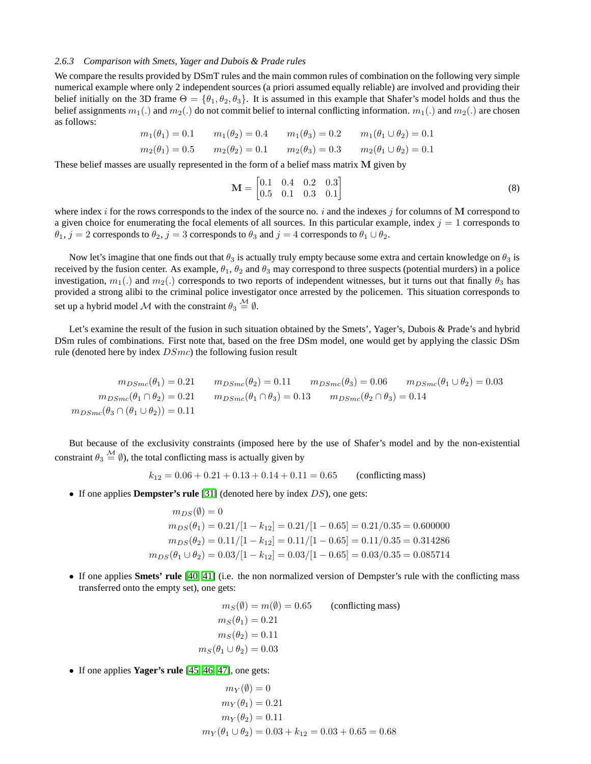#### *2.6.3 Comparison with Smets, Yager and Dubois & Prade rules*

We compare the results provided by DSmT rules and the main common rules of combination on the following very simple numerical example where only 2 independent sources (a priori assumed equally reliable) are involved and providing their belief initially on the 3D frame  $\Theta = {\theta_1, \theta_2, \theta_3}$ . It is assumed in this example that Shafer's model holds and thus the belief assignments  $m_1(.)$  and  $m_2(.)$  do not commit belief to internal conflicting information.  $m_1(.)$  and  $m_2(.)$  are chosen as follows:

$$
m_1(\theta_1) = 0.1
$$
  $m_1(\theta_2) = 0.4$   $m_1(\theta_3) = 0.2$   $m_1(\theta_1 \cup \theta_2) = 0.1$   
\n $m_2(\theta_1) = 0.5$   $m_2(\theta_2) = 0.1$   $m_2(\theta_3) = 0.3$   $m_2(\theta_1 \cup \theta_2) = 0.1$ 

These belief masses are usually represented in the form of a belief mass matrix M given by

$$
\mathbf{M} = \begin{bmatrix} 0.1 & 0.4 & 0.2 & 0.3 \\ 0.5 & 0.1 & 0.3 & 0.1 \end{bmatrix}
$$
 (8)

where index i for the rows corresponds to the index of the source no. i and the indexes j for columns of M correspond to a given choice for enumerating the focal elements of all sources. In this particular example, index  $j = 1$  corresponds to  $\theta_1$ ,  $j = 2$  corresponds to  $\theta_2$ ,  $j = 3$  corresponds to  $\theta_3$  and  $j = 4$  corresponds to  $\theta_1 \cup \theta_2$ .

Now let's imagine that one finds out that  $\theta_3$  is actually truly empty because some extra and certain knowledge on  $\theta_3$  is received by the fusion center. As example,  $\theta_1$ ,  $\theta_2$  and  $\theta_3$  may correspond to three suspects (potential murders) in a police investigation,  $m_1(.)$  and  $m_2(.)$  corresponds to two reports of independent witnesses, but it turns out that finally  $\theta_3$  has provided a strong alibi to the criminal police investigator once arrested by the policemen. This situation corresponds to set up a hybrid model  $\cal M$  with the constraint  $\theta_3\stackrel{\cal M}{=}\emptyset$ .

Let's examine the result of the fusion in such situation obtained by the Smets', Yager's, Dubois & Prade's and hybrid DSm rules of combinations. First note that, based on the free DSm model, one would get by applying the classic DSm rule (denoted here by index  $DSmc$ ) the following fusion result

 $m_{DSmc}(\theta_1) = 0.21$   $m_{DSmc}(\theta_2) = 0.11$   $m_{DSmc}(\theta_3) = 0.06$   $m_{DSmc}(\theta_1 \cup \theta_2) = 0.03$  $m_{DSmc}(\theta_1 \cap \theta_2) = 0.21$   $m_{DSmc}(\theta_1 \cap \theta_3) = 0.13$   $m_{DSmc}(\theta_2 \cap \theta_3) = 0.14$  $m_{DSmc}(\theta_3 \cap (\theta_1 \cup \theta_2)) = 0.11$ 

But because of the exclusivity constraints (imposed here by the use of Shafer's model and by the non-existential constraint  $\theta_3 \stackrel{\mathcal{M}}{=} \emptyset$ ), the total conflicting mass is actually given by

$$
k_{12} = 0.06 + 0.21 + 0.13 + 0.14 + 0.11 = 0.65
$$
 (conficting mass)

• If one applies **Dempster's rule** [\[31\]](#page-18-0) (denoted here by index DS), one gets:

 $m_{DS}(\emptyset) = 0$  $m_{DS}(\theta_1) = 0.21/[1 - k_{12}] = 0.21/[1 - 0.65] = 0.21/0.35 = 0.600000$  $m_{DS}(\theta_2) = 0.11/[1 - k_{12}] = 0.11/[1 - 0.65] = 0.11/0.35 = 0.314286$  $m_{DS}(\theta_1 \cup \theta_2) = 0.03/[1 - k_{12}] = 0.03/[1 - 0.65] = 0.03/0.35 = 0.085714$ 

• If one applies **Smets' rule** [\[40,](#page-19-11) [41\]](#page-19-12) (i.e. the non normalized version of Dempster's rule with the conflicting mass transferred onto the empty set), one gets:

> $m<sub>S</sub>(\emptyset) = m(\emptyset) = 0.65$  (conflicting mass)  $m_S(\theta_1) = 0.21$  $m<sub>S</sub>(\theta_2) = 0.11$  $m<sub>S</sub>(\theta_1 \cup \theta_2) = 0.03$

• If one applies **Yager's rule** [\[45,](#page-19-13) [46,](#page-19-4) [47\]](#page-19-6), one gets:

$$
m_Y(\emptyset) = 0
$$
  
\n
$$
m_Y(\theta_1) = 0.21
$$
  
\n
$$
m_Y(\theta_2) = 0.11
$$
  
\n
$$
m_Y(\theta_1 \cup \theta_2) = 0.03 + k_{12} = 0.03 + 0.65 = 0.68
$$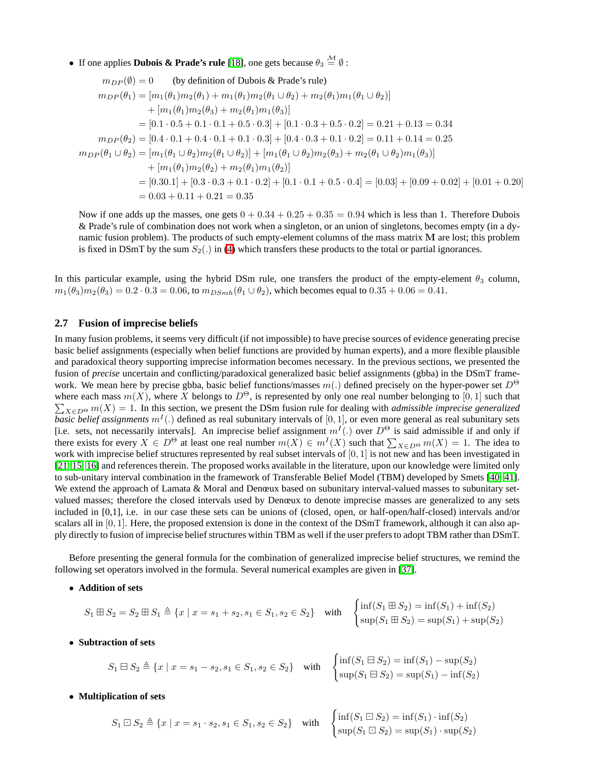• If one applies **Dubois & Prade's rule** [\[18\]](#page-18-11), one gets because  $\theta_3 \stackrel{\mathcal{M}}{=} \emptyset$ :

$$
m_{DP}(\emptyset) = 0 \qquad \text{(by definition of Dubois & Prade's rule)}
$$
\n
$$
m_{DP}(\theta_1) = [m_1(\theta_1)m_2(\theta_1) + m_1(\theta_1)m_2(\theta_1 \cup \theta_2) + m_2(\theta_1)m_1(\theta_1 \cup \theta_2)]
$$
\n
$$
+ [m_1(\theta_1)m_2(\theta_3) + m_2(\theta_1)m_1(\theta_3)]
$$
\n
$$
= [0.1 \cdot 0.5 + 0.1 \cdot 0.1 + 0.5 \cdot 0.3] + [0.1 \cdot 0.3 + 0.5 \cdot 0.2] = 0.21 + 0.13 = 0.34
$$
\n
$$
m_{DP}(\theta_2) = [0.4 \cdot 0.1 + 0.4 \cdot 0.1 + 0.1 \cdot 0.3] + [0.4 \cdot 0.3 + 0.1 \cdot 0.2] = 0.11 + 0.14 = 0.25
$$
\n
$$
m_{DP}(\theta_1 \cup \theta_2) = [m_1(\theta_1 \cup \theta_2)m_2(\theta_1 \cup \theta_2)] + [m_1(\theta_1 \cup \theta_2)m_2(\theta_3) + m_2(\theta_1 \cup \theta_2)m_1(\theta_3)]
$$
\n
$$
+ [m_1(\theta_1)m_2(\theta_2) + m_2(\theta_1)m_1(\theta_2)]
$$
\n
$$
= [0.30.1] + [0.3 \cdot 0.3 + 0.1 \cdot 0.2] + [0.1 \cdot 0.1 + 0.5 \cdot 0.4] = [0.03] + [0.09 + 0.02] + [0.01 + 0.20]
$$
\n
$$
= 0.03 + 0.11 + 0.21 = 0.35
$$

Now if one adds up the masses, one gets  $0 + 0.34 + 0.25 + 0.35 = 0.94$  which is less than 1. Therefore Dubois & Prade's rule of combination does not work when a singleton, or an union of singletons, becomes empty (in a dynamic fusion problem). The products of such empty-element columns of the mass matrix M are lost; this problem is fixed in DSmT by the sum  $S_2(.)$  in [\(4\)](#page-4-0) which transfers these products to the total or partial ignorances.

In this particular example, using the hybrid DSm rule, one transfers the product of the empty-element  $\theta_3$  column,  $m_1(\theta_3)m_2(\theta_3) = 0.2 \cdot 0.3 = 0.06$ , to  $m_{DSmh}(\theta_1 \cup \theta_2)$ , which becomes equal to  $0.35 + 0.06 = 0.41$ .

# <span id="page-7-0"></span>**2.7 Fusion of imprecise beliefs**

In many fusion problems, it seems very difficult (if not impossible) to have precise sources of evidence generating precise basic belief assignments (especially when belief functions are provided by human experts), and a more flexible plausible and paradoxical theory supporting imprecise information becomes necessary. In the previous sections, we presented the fusion of *precise* uncertain and conflicting/paradoxical generalized basic belief assignments (gbba) in the DSmT framework. We mean here by precise gbba, basic belief functions/masses  $m(.)$  defined precisely on the hyper-power set  $D^{\Theta}$ where each mass  $m(X)$ , where X belongs to  $D^{\Theta}$ , is represented by only one real number belonging to  $[0,1]$  such that  $\sum_{X \in D^{\Theta}} m(X) = 1$ . In this section, we present the DSm fusion rule for dealing with *admissible imprecise generalized basic belief assignments*  $m^{I}(.)$  defined as real subunitary intervals of [0, 1], or even more general as real subunitary sets [i.e. sets, not necessarily intervals]. An imprecise belief assignment  $m^I(.)$  over  $D^\Theta$  is said admissible if and only if there exists for every  $X \in D^{\Theta}$  at least one real number  $m(X) \in m^{I}(X)$  such that  $\sum_{X \in D^{\Theta}} m(X) = 1$ . The idea to work with imprecise belief structures represented by real subset intervals of  $[0, 1]$  is not new and has been investigated in [\[21,](#page-18-12) [15,](#page-18-13) [16\]](#page-18-14) and references therein. The proposed works available in the literature, upon our knowledge were limited only to sub-unitary interval combination in the framework of Transferable Belief Model (TBM) developed by Smets [\[40,](#page-19-11) [41\]](#page-19-12). We extend the approach of Lamata & Moral and Denœux based on subunitary interval-valued masses to subunitary setvalued masses; therefore the closed intervals used by Denœux to denote imprecise masses are generalized to any sets included in [0,1], i.e. in our case these sets can be unions of (closed, open, or half-open/half-closed) intervals and/or scalars all in  $[0, 1]$ . Here, the proposed extension is done in the context of the DSmT framework, although it can also apply directly to fusion of imprecise belief structures within TBM as well if the user prefers to adopt TBM rather than DSmT.

Before presenting the general formula for the combination of generalized imprecise belief structures, we remind the following set operators involved in the formula. Several numerical examples are given in [\[37\]](#page-19-0).

• **Addition of sets**

$$
S_1 \boxplus S_2 = S_2 \boxplus S_1 \triangleq \{x \mid x = s_1 + s_2, s_1 \in S_1, s_2 \in S_2\} \quad \text{with} \quad \begin{cases} \inf(S_1 \boxplus S_2) = \inf(S_1) + \inf(S_2) \\ \sup(S_1 \boxplus S_2) = \sup(S_1) + \sup(S_2) \end{cases}
$$

• **Subtraction of sets**

 $S_1 \boxminus S_2 \triangleq \{x \mid x = s_1 - s_2, s_1 \in S_1, s_2 \in S_2\}$  with  $\begin{cases} \inf(S_1 \boxminus S_2) = \inf(S_1) - \sup(S_2) \\ (S_1 \boxminus S_2) & \text{if } (S_1 \cup S_2) \end{cases}$  $\sup(S_1 \boxminus S_2) = \sup(S_1) - \inf(S_2)$ 

• **Multiplication of sets**

$$
S_1 \boxdot S_2 \triangleq \{x \mid x = s_1 \cdot s_2, s_1 \in S_1, s_2 \in S_2\} \quad \text{with} \quad \begin{cases} \inf(S_1 \boxdot S_2) = \inf(S_1) \cdot \inf(S_2) \\ \sup(S_1 \boxdot S_2) = \sup(S_1) \cdot \sup(S_2) \end{cases}
$$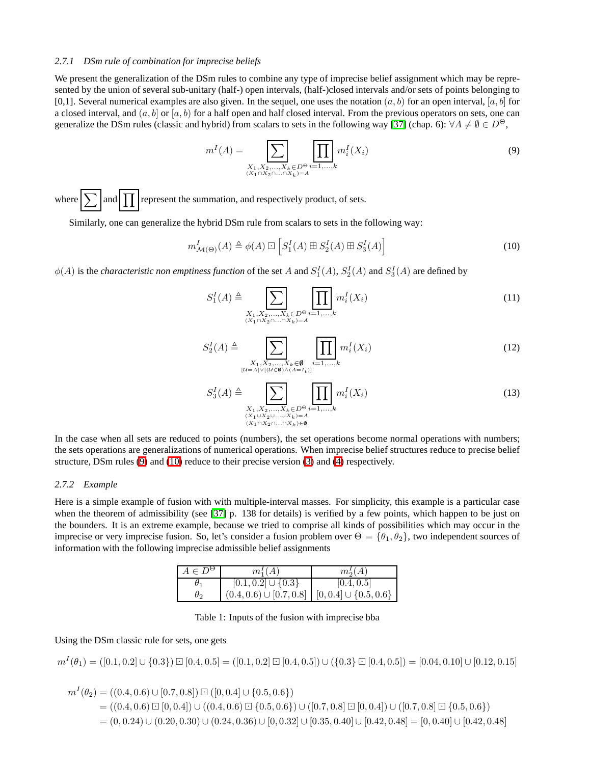#### *2.7.1 DSm rule of combination for imprecise beliefs*

We present the generalization of the DSm rules to combine any type of imprecise belief assignment which may be represented by the union of several sub-unitary (half-) open intervals, (half-)closed intervals and/or sets of points belonging to [0,1]. Several numerical examples are also given. In the sequel, one uses the notation  $(a, b)$  for an open interval,  $[a, b]$  for a closed interval, and  $(a, b]$  or  $[a, b)$  for a half open and half closed interval. From the previous operators on sets, one can generalize the DSm rules (classic and hybrid) from scalars to sets in the following way [\[37\]](#page-19-0) (chap. 6):  $\forall A \neq \emptyset \in D^{\Theta}$ ,

<span id="page-8-1"></span><span id="page-8-0"></span>
$$
m^{I}(A) = \sum_{\substack{X_1, X_2, ..., X_k \in D^{\Theta} \\ (X_1 \cap X_2 \cap ... \cap X_k) = A}} \prod_{i=1,...,k} m_i^{I}(X_i)
$$
\n(9)

where  $\sum$  and  $\prod$  represent the summation, and respectively product, of sets.

Similarly, one can generalize the hybrid DSm rule from scalars to sets in the following way:

$$
m_{\mathcal{M}(\Theta)}^I(A) \triangleq \phi(A) \boxdot \left[ S_1^I(A) \boxplus S_2^I(A) \boxplus S_3^I(A) \right] \tag{10}
$$

 $\phi(A)$  is the *characteristic non emptiness function* of the set A and  $S_1^I(A)$ ,  $S_2^I(A)$  and  $S_3^I(A)$  are defined by

$$
S_1^I(A) \triangleq \sum_{\substack{X_1, X_2, \dots, X_k \in D^{\Theta} \\ (X_1 \cap X_2 \cap \dots \cap X_k) = A}} \prod_{i=1,\dots,k} m_i^I(X_i)
$$
\n
$$
(11)
$$

$$
S_2^I(A) \triangleq \sum_{\substack{X_1, X_2, \dots, X_k \in \mathbf{0} \\ [\mathcal{U} = A] \vee [(\mathcal{U} \in \mathbf{0}) \wedge (A = I_t)]}} \prod_{i=1, \dots, k} m_i^I(X_i)
$$
\n(12)

$$
S_3^I(A) \triangleq \sum_{\substack{X_1, X_2, \dots, X_k \in D^{\Theta} \\ (X_1 \cup X_2 \cup \dots \cup X_k) = A \\ (X_1 \cap X_2 \cap \dots \cap X_k) \in \emptyset}} \prod_{i=1, \dots, k} m_i^I(X_i)
$$
\n
$$
(13)
$$

In the case when all sets are reduced to points (numbers), the set operations become normal operations with numbers; the sets operations are generalizations of numerical operations. When imprecise belief structures reduce to precise belief structure, DSm rules [\(9\)](#page-8-0) and [\(10\)](#page-8-1) reduce to their precise version [\(3\)](#page-3-0) and [\(4\)](#page-4-0) respectively.

#### *2.7.2 Example*

Here is a simple example of fusion with with multiple-interval masses. For simplicity, this example is a particular case when the theorem of admissibility (see [\[37\]](#page-19-0) p. 138 for details) is verified by a few points, which happen to be just on the bounders. It is an extreme example, because we tried to comprise all kinds of possibilities which may occur in the imprecise or very imprecise fusion. So, let's consider a fusion problem over  $\Theta = \{\theta_1, \theta_2\}$ , two independent sources of information with the following imprecise admissible belief assignments

| $A \in D^{\Theta}$ | $m_1^I(A)$                                                  | $m_2(A)$   |
|--------------------|-------------------------------------------------------------|------------|
| $\theta_1$         | $[0.1, 0.2] \cup \{0.3\}$                                   | [0.4, 0.5] |
| $\theta_2$         | $(0.4, 0.6) \cup [0.7, 0.8]$   $[0, 0.4] \cup \{0.5, 0.6\}$ |            |

|  |  |  |  |  | Table 1: Inputs of the fusion with imprecise bba |  |
|--|--|--|--|--|--------------------------------------------------|--|
|--|--|--|--|--|--------------------------------------------------|--|

#### Using the DSm classic rule for sets, one gets

$$
m^{I}(\theta_{1}) = ([0.1, 0.2] \cup \{0.3\}) \boxdot [0.4, 0.5] = ([0.1, 0.2] \boxdot [0.4, 0.5]) \cup (\{0.3\} \boxdot [0.4, 0.5]) = [0.04, 0.10] \cup [0.12, 0.15]
$$

$$
m^{I}(\theta_{2}) = ((0.4, 0.6) \cup [0.7, 0.8]) \boxdot ([0, 0.4] \cup \{0.5, 0.6\})
$$
  
= ((0.4, 0.6) \boxdot [0, 0.4]) \cup ((0.4, 0.6) \boxdot [0.5, 0.6]) \cup ([0.7, 0.8] \boxdot [0, 0.4]) \cup ([0.7, 0.8] \boxdot [0.5, 0.6])  
= (0, 0.24) \cup (0.20, 0.30) \cup (0.24, 0.36) \cup [0, 0.32] \cup [0.35, 0.40] \cup [0.42, 0.48] = [0, 0.40] \cup [0.42, 0.48]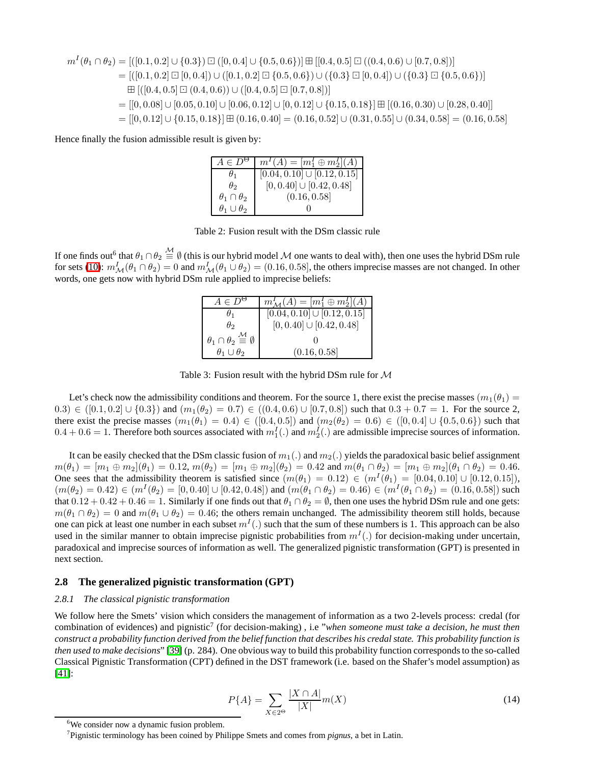$$
m^{I}(\theta_{1} \cap \theta_{2}) = [([0.1, 0.2] \cup \{0.3\}) \boxdot ([0, 0.4] \cup \{0.5, 0.6\})] \boxplus [[0.4, 0.5] \boxdot ((0.4, 0.6) \cup [0.7, 0.8])]
$$
  
\n
$$
= [([0.1, 0.2] \boxdot [0, 0.4]) \cup ([0.1, 0.2] \boxdot \{0.5, 0.6\}) \cup (\{0.3\} \boxdot [0, 0.4]) \cup (\{0.3\} \boxdot \{0.5, 0.6\})]
$$
  
\n
$$
\boxplus [([0.4, 0.5] \boxdot [0, 0.4, 0.6)) \cup ([0.4, 0.5] \boxdot [0, 7, 0.8])]
$$
  
\n
$$
= [[0, 0.08] \cup [0.05, 0.10] \cup [0.06, 0.12] \cup [0, 0.12] \cup \{0.15, 0.18\}] \boxplus [(0.16, 0.30) \cup [0.28, 0.40]]
$$
  
\n
$$
= [[0, 0.12] \cup \{0.15, 0.18\}] \boxplus (0.16, 0.40] = (0.16, 0.52] \cup (0.31, 0.55] \cup (0.34, 0.58] = (0.16, 0.58]
$$

Hence finally the fusion admissible result is given by:

| $A \in D^{\Theta}$       | $m^{I}(A) = [m_1^{I} \oplus m_2^{I}](A)$ |
|--------------------------|------------------------------------------|
| $\theta_1$               | $[0.04, 0.10] \cup [0.12, 0.15]$         |
| $\theta_2$               | $[0, 0.40] \cup [0.42, 0.48]$            |
| $\theta_1 \cap \theta_2$ | (0.16, 0.58]                             |
| $\theta_1 \cup \theta_2$ |                                          |

Table 2: Fusion result with the DSm classic rule

If one finds out<sup>6</sup> that  $\theta_1 \cap \theta_2 \stackrel{M}{\equiv} \emptyset$  (this is our hybrid model  $M$  one wants to deal with), then one uses the hybrid DSm rule for sets [\(10\)](#page-8-1):  $m_{\mathcal{M}}^I(\theta_1 \cap \theta_2) = 0$  and  $m_{\mathcal{M}}^I(\theta_1 \cup \theta_2) = (0.16, 0.58]$ , the others imprecise masses are not changed. In other words, one gets now with hybrid DSm rule applied to imprecise beliefs:

| $A \in D^{\Theta}$                                      | $m_{\mathcal{M}}^I(A) = [m_1^I \oplus m_2^I](A)$ |
|---------------------------------------------------------|--------------------------------------------------|
|                                                         | $[0.04, 0.10] \cup [0.12, 0.15]$                 |
| θ0                                                      | $[0, 0.40] \cup [0.42, 0.48]$                    |
| $\theta_1 \cap \theta_2 \stackrel{M}{\equiv} \emptyset$ |                                                  |
| $\theta_1 \cup \theta_2$                                | (0.16, 0.58]                                     |

Table 3: Fusion result with the hybrid DSm rule for M

Let's check now the admissibility conditions and theorem. For the source 1, there exist the precise masses  $(m_1(\theta_1)$  =  $(0.0.3) \in ([0.1, 0.2] \cup \{0.3\})$  and  $(m_1(\theta_2) = 0.7) \in ((0.4, 0.6) \cup [0.7, 0.8])$  such that  $(0.3 + 0.7 = 1$ . For the source 2, there exist the precise masses  $(m_1(\theta_1) = 0.4) \in ([0.4, 0.5])$  and  $(m_2(\theta_2) = 0.6) \in ([0, 0.4] \cup \{0.5, 0.6\})$  such that  $0.4 + 0.6 = 1$ . Therefore both sources associated with  $m_1^I(.)$  and  $m_2^I(.)$  are admissible imprecise sources of information.

It can be easily checked that the DSm classic fusion of  $m_1(.)$  and  $m_2(.)$  yields the paradoxical basic belief assignment  $m(\theta_1) = [m_1 \oplus m_2](\theta_1) = 0.12, m(\theta_2) = [m_1 \oplus m_2](\theta_2) = 0.42$  and  $m(\theta_1 \cap \theta_2) = [m_1 \oplus m_2](\theta_1 \cap \theta_2) = 0.46$ . One sees that the admissibility theorem is satisfied since  $(m(\theta_1) = 0.12) \in (m^I(\theta_1) = [0.04, 0.10] \cup [0.12, 0.15]),$  $(m(\theta_2) = 0.42) \in (m^I(\theta_2) = [0, 0.40] \cup [0.42, 0.48])$  and  $(m(\theta_1 \cap \theta_2) = 0.46) \in (m^I(\theta_1 \cap \theta_2) = (0.16, 0.58])$  such that  $0.12 + 0.42 + 0.46 = 1$ . Similarly if one finds out that  $\theta_1 \cap \theta_2 = \emptyset$ , then one uses the hybrid DSm rule and one gets:  $m(\theta_1 \cap \theta_2) = 0$  and  $m(\theta_1 \cup \theta_2) = 0.46$ ; the others remain unchanged. The admissibility theorem still holds, because one can pick at least one number in each subset  $m^I(.)$  such that the sum of these numbers is 1. This approach can be also used in the similar manner to obtain imprecise pignistic probabilities from  $m<sup>I</sup>(.)$  for decision-making under uncertain, paradoxical and imprecise sources of information as well. The generalized pignistic transformation (GPT) is presented in next section.

#### **2.8 The generalized pignistic transformation (GPT)**

#### *2.8.1 The classical pignistic transformation*

<span id="page-9-0"></span>We follow here the Smets' vision which considers the management of information as a two 2-levels process: credal (for combination of evidences) and pignistic<sup>7</sup> (for decision-making), i.e "*when someone must take a decision, he must then construct a probability function derived from the belief function that describes his credal state. This probability function is then used to make decisions*" [\[39\]](#page-19-7) (p. 284). One obvious way to build this probability function corresponds to the so-called Classical Pignistic Transformation (CPT) defined in the DST framework (i.e. based on the Shafer's model assumption) as [\[41\]](#page-19-12):

$$
P\{A\} = \sum_{X \in 2^{\Theta}} \frac{|X \cap A|}{|X|} m(X)
$$
\n(14)

<sup>&</sup>lt;sup>6</sup>We consider now a dynamic fusion problem.

<sup>7</sup> Pignistic terminology has been coined by Philippe Smets and comes from *pignus*, a bet in Latin.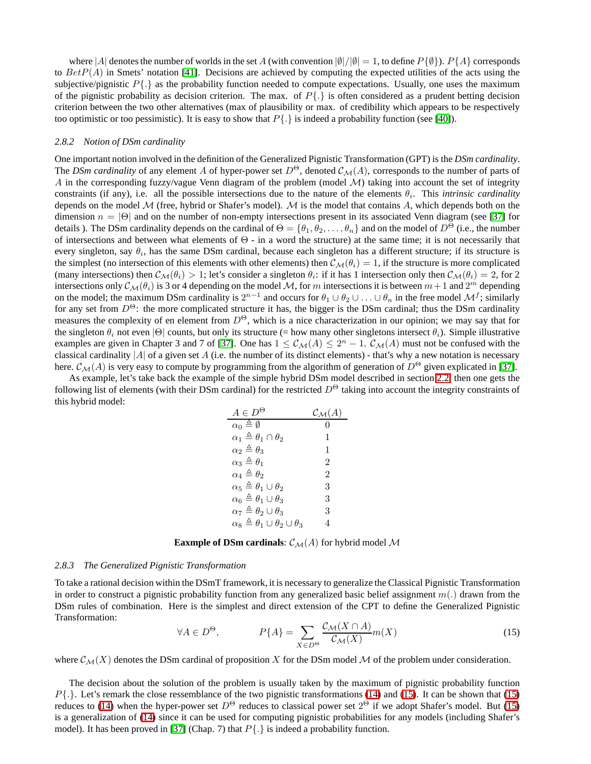where |A| denotes the number of worlds in the set A (with convention  $|\emptyset|/|\emptyset| = 1$ , to define  $P\{\emptyset\}$ ).  $P\{A\}$  corresponds to  $BetP(A)$  in Smets' notation [\[41\]](#page-19-12). Decisions are achieved by computing the expected utilities of the acts using the subjective/pignistic  $P\{\cdot\}$  as the probability function needed to compute expectations. Usually, one uses the maximum of the pignistic probability as decision criterion. The max. of  $P\{\cdot\}$  is often considered as a prudent betting decision criterion between the two other alternatives (max of plausibility or max. of credibility which appears to be respectively too optimistic or too pessimistic). It is easy to show that  $P\{.\}$  is indeed a probability function (see [\[40\]](#page-19-11)).

#### *2.8.2 Notion of DSm cardinality*

One important notion involved in the definition of the Generalized Pignistic Transformation (GPT) is the *DSm cardinality*. The *DSm cardinality* of any element A of hyper-power set  $D^{\Theta}$ , denoted  $\mathcal{C}_{\mathcal{M}}(A)$ , corresponds to the number of parts of A in the corresponding fuzzy/vague Venn diagram of the problem (model  $\mathcal{M}$ ) taking into account the set of integrity constraints (if any), i.e. all the possible intersections due to the nature of the elements  $\theta_i$ . This *intrinsic cardinality* depends on the model  $M$  (free, hybrid or Shafer's model).  $M$  is the model that contains  $A$ , which depends both on the dimension  $n = |\Theta|$  and on the number of non-empty intersections present in its associated Venn diagram (see [\[37\]](#page-19-0) for details ). The DSm cardinality depends on the cardinal of  $\Theta = {\theta_1, \theta_2, \dots, \theta_n}$  and on the model of  $D^\Theta$  (i.e., the number of intersections and between what elements of Θ - in a word the structure) at the same time; it is not necessarily that every singleton, say  $\theta_i$ , has the same DSm cardinal, because each singleton has a different structure; if its structure is the simplest (no intersection of this elements with other elements) then  $C_M(\theta_i) = 1$ , if the structure is more complicated (many intersections) then  $\mathcal{C}_M(\theta_i) > 1$ ; let's consider a singleton  $\theta_i$ : if it has 1 intersection only then  $\mathcal{C}_M(\theta_i) = 2$ , for 2 intersections only  $\mathcal{C}_M(\theta_i)$  is 3 or 4 depending on the model M, for m intersections it is between  $m+1$  and  $2^m$  depending on the model; the maximum DSm cardinality is  $2^{n-1}$  and occurs for  $\theta_1\cup\theta_2\cup\ldots\cup\theta_n$  in the free model  $\mathcal{M}^f$ ; similarly for any set from  $D^{\Theta}$ : the more complicated structure it has, the bigger is the DSm cardinal; thus the DSm cardinality measures the complexity of en element from  $D^{\Theta}$ , which is a nice characterization in our opinion; we may say that for the singleton  $\theta_i$  not even  $|\Theta|$  counts, but only its structure (= how many other singletons intersect  $\theta_i$ ). Simple illustrative examples are given in Chapter 3 and 7 of [\[37\]](#page-19-0). One has  $1 \leq C_{\mathcal{M}}(A) \leq 2^n - 1$ .  $C_{\mathcal{M}}(A)$  must not be confused with the classical cardinality  $|A|$  of a given set A (i.e. the number of its distinct elements) - that's why a new notation is necessary here.  $\mathcal{C}_{\mathcal{M}}(A)$  is very easy to compute by programming from the algorithm of generation of  $D^{\Theta}$  given explicated in [\[37\]](#page-19-0).

As example, let's take back the example of the simple hybrid DSm model described in section [2.2,](#page-2-0) then one gets the following list of elements (with their DSm cardinal) for the restricted  $D^{\Theta}$  taking into account the integrity constraints of this hybrid model:

| $A \in D^{\Theta}$                                         | $\mathcal{C}_\mathcal{M}(A)$ |
|------------------------------------------------------------|------------------------------|
| $\alpha_0 \triangleq \emptyset$                            | 0                            |
| $\alpha_1 \triangleq \theta_1 \cap \theta_2$               | 1                            |
| $\alpha_2 \triangleq \theta_3$                             | 1                            |
| $\alpha_3 \triangleq \theta_1$                             | 2                            |
| $\alpha_4 \triangleq \theta_2$                             | 2                            |
| $\alpha_5 \triangleq \theta_1 \cup \theta_2$               | 3                            |
| $\alpha_6 \triangleq \theta_1 \cup \theta_3$               | 3                            |
| $\alpha_7 \triangleq \theta_2 \cup \theta_3$               | 3                            |
| $\alpha_8 \triangleq \theta_1 \cup \theta_2 \cup \theta_3$ |                              |

**Eaxmple of DSm cardinals:**  $\mathcal{C}_{\mathcal{M}}(A)$  for hybrid model  $\mathcal{M}$ 

# *2.8.3 The Generalized Pignistic Transformation*

<span id="page-10-0"></span>To take a rational decision within the DSmT framework, it is necessary to generalize the Classical Pignistic Transformation in order to construct a pignistic probability function from any generalized basic belief assignment  $m(.)$  drawn from the DSm rules of combination. Here is the simplest and direct extension of the CPT to define the Generalized Pignistic Transformation:

$$
\forall A \in D^{\Theta}, \qquad P\{A\} = \sum_{X \in D^{\Theta}} \frac{\mathcal{C}_{\mathcal{M}}(X \cap A)}{\mathcal{C}_{\mathcal{M}}(X)} m(X) \tag{15}
$$

where  $\mathcal{C}_{\mathcal{M}}(X)$  denotes the DSm cardinal of proposition X for the DSm model M of the problem under consideration.

The decision about the solution of the problem is usually taken by the maximum of pignistic probability function  $P\{.\}.$  Let's remark the close ressemblance of the two pignistic transformations [\(14\)](#page-9-0) and [\(15\)](#page-10-0). It can be shown that (15) reduces to [\(14\)](#page-9-0) when the hyper-power set  $D^{\Theta}$  reduces to classical power set  $2^{\Theta}$  if we adopt Shafer's model. But [\(15\)](#page-10-0) is a generalization of [\(14\)](#page-9-0) since it can be used for computing pignistic probabilities for any models (including Shafer's model). It has been proved in [\[37\]](#page-19-0) (Chap. 7) that  $P\{\cdot\}$  is indeed a probability function.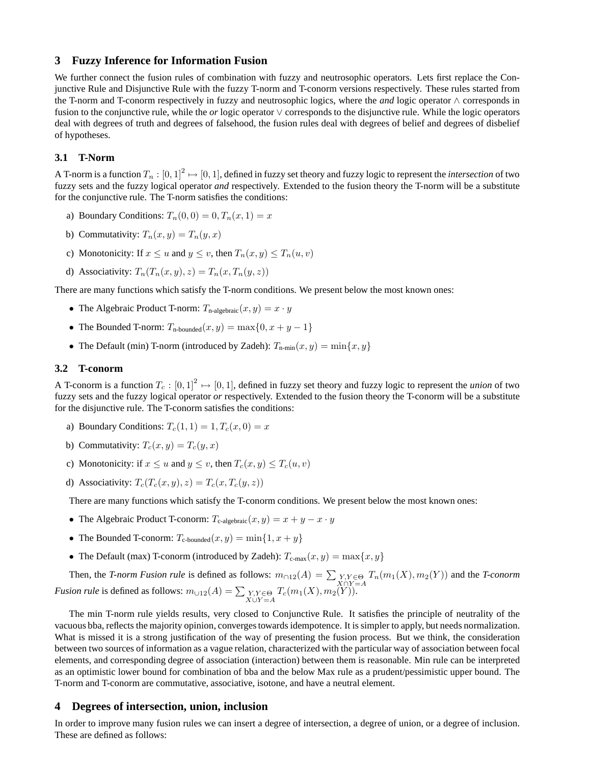# **3 Fuzzy Inference for Information Fusion**

We further connect the fusion rules of combination with fuzzy and neutrosophic operators. Lets first replace the Conjunctive Rule and Disjunctive Rule with the fuzzy T-norm and T-conorm versions respectively. These rules started from the T-norm and T-conorm respectively in fuzzy and neutrosophic logics, where the *and* logic operator ∧ corresponds in fusion to the conjunctive rule, while the *or* logic operator ∨ corresponds to the disjunctive rule. While the logic operators deal with degrees of truth and degrees of falsehood, the fusion rules deal with degrees of belief and degrees of disbelief of hypotheses.

# **3.1 T-Norm**

A T-norm is a function  $T_n:[0,1]^2\mapsto[0,1]$ , defined in fuzzy set theory and fuzzy logic to represent the *intersection* of two fuzzy sets and the fuzzy logical operator *and* respectively. Extended to the fusion theory the T-norm will be a substitute for the conjunctive rule. The T-norm satisfies the conditions:

- a) Boundary Conditions:  $T_n(0,0) = 0, T_n(x, 1) = x$
- b) Commutativity:  $T_n(x, y) = T_n(y, x)$
- c) Monotonicity: If  $x \le u$  and  $y \le v$ , then  $T_n(x, y) \le T_n(u, v)$
- d) Associativity:  $T_n(T_n(x, y), z) = T_n(x, T_n(y, z))$

There are many functions which satisfy the T-norm conditions. We present below the most known ones:

- The Algebraic Product T-norm:  $T_{\text{n-algebraic}}(x, y) = x \cdot y$
- The Bounded T-norm:  $T_{n\text{-bounded}}(x, y) = \max\{0, x+y-1\}$
- The Default (min) T-norm (introduced by Zadeh):  $T_{n-min}(x, y) = min\{x, y\}$

## **3.2 T-conorm**

A T-conorm is a function  $T_c : [0,1]^2 \mapsto [0,1]$ , defined in fuzzy set theory and fuzzy logic to represent the *union* of two fuzzy sets and the fuzzy logical operator *or* respectively. Extended to the fusion theory the T-conorm will be a substitute for the disjunctive rule. The T-conorm satisfies the conditions:

- a) Boundary Conditions:  $T_c(1, 1) = 1, T_c(x, 0) = x$
- b) Commutativity:  $T_c(x, y) = T_c(y, x)$
- c) Monotonicity: if  $x \le u$  and  $y \le v$ , then  $T_c(x, y) \le T_c(u, v)$
- d) Associativity:  $T_c(T_c(x, y), z) = T_c(x, T_c(y, z))$

There are many functions which satisfy the T-conorm conditions. We present below the most known ones:

- The Algebraic Product T-conorm:  $T_{c\text{-algebraic}}(x, y) = x + y x \cdot y$
- The Bounded T-conorm:  $T_{c\text{-bounded}}(x, y) = \min\{1, x + y\}$
- The Default (max) T-conorm (introduced by Zadeh):  $T_{c-max}(x, y) = max\{x, y\}$

Then, the *T-norm Fusion rule* is defined as follows:  $m_{\cap 12}(A) = \sum_{Y,Y \in \Theta} T_n(m_1(X), m_2(Y))$  and the *T-conorm Fusion rule* is defined as follows:  $m_{\cup 12}(A) = \sum_{X \cup Y = A} T_c(m_1(X), m_2(Y)).$ 

The min T-norm rule yields results, very closed to Conjunctive Rule. It satisfies the principle of neutrality of the vacuous bba, reflects the majority opinion, converges towards idempotence. It is simpler to apply, but needs normalization. What is missed it is a strong justification of the way of presenting the fusion process. But we think, the consideration between two sources of information as a vague relation, characterized with the particular way of association between focal elements, and corresponding degree of association (interaction) between them is reasonable. Min rule can be interpreted as an optimistic lower bound for combination of bba and the below Max rule as a prudent/pessimistic upper bound. The T-norm and T-conorm are commutative, associative, isotone, and have a neutral element.

#### **4 Degrees of intersection, union, inclusion**

In order to improve many fusion rules we can insert a degree of intersection, a degree of union, or a degree of inclusion. These are defined as follows: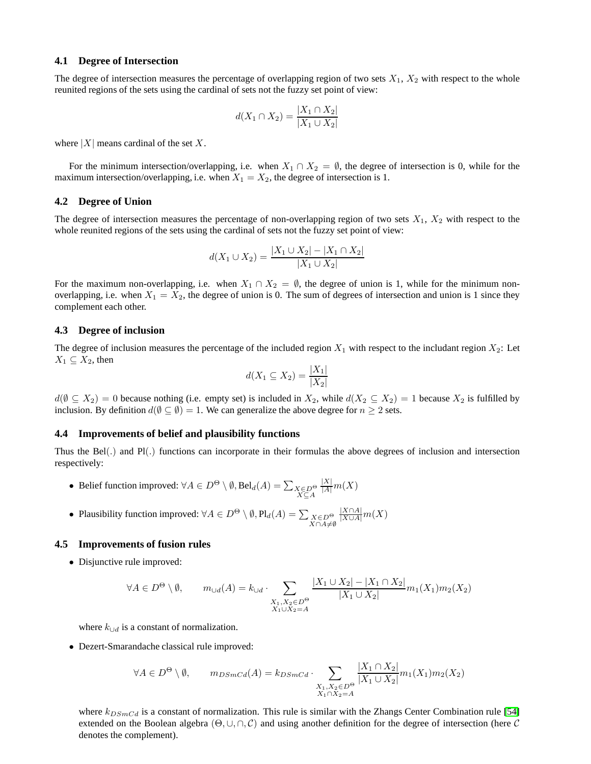#### **4.1 Degree of Intersection**

The degree of intersection measures the percentage of overlapping region of two sets  $X_1, X_2$  with respect to the whole reunited regions of the sets using the cardinal of sets not the fuzzy set point of view:

$$
d(X_1 \cap X_2) = \frac{|X_1 \cap X_2|}{|X_1 \cup X_2|}
$$

where  $|X|$  means cardinal of the set X.

For the minimum intersection/overlapping, i.e. when  $X_1 \cap X_2 = \emptyset$ , the degree of intersection is 0, while for the maximum intersection/overlapping, i.e. when  $X_1 = X_2$ , the degree of intersection is 1.

# **4.2 Degree of Union**

The degree of intersection measures the percentage of non-overlapping region of two sets  $X_1$ ,  $X_2$  with respect to the whole reunited regions of the sets using the cardinal of sets not the fuzzy set point of view:

$$
d(X_1 \cup X_2) = \frac{|X_1 \cup X_2| - |X_1 \cap X_2|}{|X_1 \cup X_2|}
$$

For the maximum non-overlapping, i.e. when  $X_1 \cap X_2 = \emptyset$ , the degree of union is 1, while for the minimum nonoverlapping, i.e. when  $X_1 = X_2$ , the degree of union is 0. The sum of degrees of intersection and union is 1 since they complement each other.

## **4.3 Degree of inclusion**

The degree of inclusion measures the percentage of the included region  $X_1$  with respect to the includant region  $X_2$ : Let  $X_1 \subseteq X_2$ , then

$$
d(X_1 \subseteq X_2) = \frac{|X_1|}{|X_2|}
$$

 $d(\emptyset \subseteq X_2) = 0$  because nothing (i.e. empty set) is included in  $X_2$ , while  $d(X_2 \subseteq X_2) = 1$  because  $X_2$  is fulfilled by inclusion. By definition  $d(\emptyset \subseteq \emptyset) = 1$ . We can generalize the above degree for  $n \geq 2$  sets.

## **4.4 Improvements of belief and plausibility functions**

Thus the Bel(.) and Pl(.) functions can incorporate in their formulas the above degrees of inclusion and intersection respectively:

- Belief function improved:  $\forall A \in D^\Theta \setminus \emptyset$ , Bel $_d(A) = \sum_{\substack{X \subseteq D^\Theta \\ X \subseteq A}}$  $\frac{|X|}{|A|} m(X)$
- Plausibility function improved:  $\forall A \in D^{\Theta} \setminus \emptyset$ ,  $\text{Pl}_d(A) = \sum_{X \in D^{\Theta}} \text{Ker}(\overline{A})$  $\frac{|X\cap A|}{|X\cup A|}m(X)$

#### **4.5 Improvements of fusion rules**

• Disjunctive rule improved:

$$
\forall A \in D^{\Theta} \setminus \emptyset, \qquad m_{\cup d}(A) = k_{\cup d} \cdot \sum_{\substack{X_1, X_2 \in D^{\Theta} \\ X_1 \cup X_2 = A}} \frac{|X_1 \cup X_2| - |X_1 \cap X_2|}{|X_1 \cup X_2|} m_1(X_1) m_2(X_2)
$$

where  $k_{\cup d}$  is a constant of normalization.

• Dezert-Smarandache classical rule improved:

$$
\forall A \in D^{\Theta} \setminus \emptyset, \qquad m_{DSmCd}(A) = k_{DSmCd} \cdot \sum_{\substack{X_1, X_2 \in D^{\Theta} \\ X_1 \cap X_2 = A}} \frac{|X_1 \cap X_2|}{|X_1 \cup X_2|} m_1(X_1) m_2(X_2)
$$

where  $k_{DSmCd}$  is a constant of normalization. This rule is similar with the Zhangs Center Combination rule [\[54\]](#page-19-14) extended on the Boolean algebra  $(\Theta, \cup, \cap, \mathcal{C})$  and using another definition for the degree of intersection (here  $\mathcal{C}$ denotes the complement).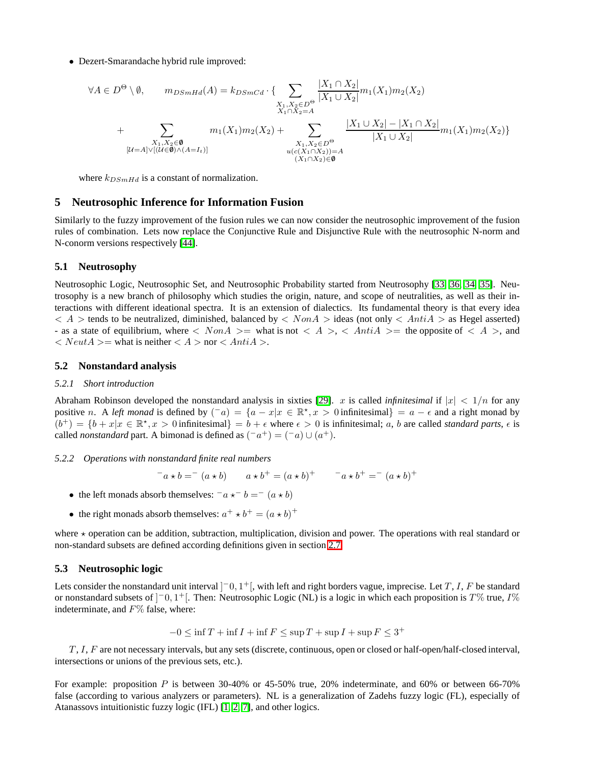• Dezert-Smarandache hybrid rule improved:

$$
\forall A \in D^{\Theta} \setminus \emptyset, \quad m_{DSmHd}(A) = k_{DSmCd} \cdot \{ \sum_{\substack{X_1, X_2 \in D^{\Theta} \\ X_1 \cap X_2 = A}} \frac{|X_1 \cap X_2|}{|X_1 \cup X_2|} m_1(X_1) m_2(X_2) + \sum_{\substack{X_1, X_2 \in D^{\Theta} \\ X_1 \cap X_2 = A}} \frac{|X_1 \cup X_2|}{|X_1 \cup X_2|} - \frac{|X_1 \cap X_2|}{|X_1 \cup X_2|} m_1(X_1) m_2(X_2) \} + \sum_{\substack{X_1, X_2 \in D^{\Theta} \\ u(c(X_1 \cap X_2)) = A}} \frac{|X_1 \cup X_2| - |X_1 \cap X_2|}{|X_1 \cup X_2|} m_1(X_1) m_2(X_2) \}
$$

where  $k_{DSmHd}$  is a constant of normalization.

## **5 Neutrosophic Inference for Information Fusion**

Similarly to the fuzzy improvement of the fusion rules we can now consider the neutrosophic improvement of the fusion rules of combination. Lets now replace the Conjunctive Rule and Disjunctive Rule with the neutrosophic N-norm and N-conorm versions respectively [\[44\]](#page-19-15).

#### **5.1 Neutrosophy**

Neutrosophic Logic, Neutrosophic Set, and Neutrosophic Probability started from Neutrosophy [\[33,](#page-18-15) [36,](#page-19-16) [34,](#page-18-16) [35\]](#page-19-17). Neutrosophy is a new branch of philosophy which studies the origin, nature, and scope of neutralities, as well as their interactions with different ideational spectra. It is an extension of dialectics. Its fundamental theory is that every idea  $< A >$  tends to be neutralized, diminished, balanced by  $< N \circ A >$  ideas (not only  $< AntiA >$  as Hegel asserted) - as a state of equilibrium, where  $\langle NonA \rangle$  = what is not  $\langle A \rangle$ ,  $\langle AntiA \rangle$  = the opposite of  $\langle A \rangle$ , and  $\langle$  NeutA  $\rangle$  = what is neither  $\langle A \rangle$  nor  $\langle AntiA \rangle$ .

## **5.2 Nonstandard analysis**

## *5.2.1 Short introduction*

Abraham Robinson developed the nonstandard analysis in sixties [\[29\]](#page-18-17). x is called *infinitesimal* if  $|x| < 1/n$  for any positive *n*. A *left monad* is defined by  $(-a) = \{a - x | x \in \mathbb{R}^*, x > 0 \text{ infinitesimal}\}\ = a - \epsilon$  and a right monad by  $(b^+) = \{b + x | x \in \mathbb{R}^*, x > 0 \text{ infinitesimal}\} = b + \epsilon \text{ where } \epsilon > 0 \text{ is infinitesimal}; a, b \text{ are called *standard parts*,  $\epsilon \text{ is a finite}}$$ called *nonstandard* part. A bimonad is defined as  $(-a^+) = (-a) \cup (a^+)$ .

#### *5.2.2 Operations with nonstandard finite real numbers*

$$
a * b = (a * b) \qquad a * b^{+} = (a * b)^{+} \qquad a * b^{+} = (a * b)^{+}
$$

- the left monads absorb themselves:  $-a \star^- b = -(a \star b)$
- the right monads absorb themselves:  $a^+ \star b^+ = (a \star b)^+$

where  $\star$  operation can be addition, subtraction, multiplication, division and power. The operations with real standard or non-standard subsets are defined according definitions given in section [2.7.](#page-7-0)

## **5.3 Neutrosophic logic**

Lets consider the nonstandard unit interval  $]-0,1^+[$ , with left and right borders vague, imprecise. Let T, I, F be standard or nonstandard subsets of  $]-0,1^+[$ . Then: Neutrosophic Logic (NL) is a logic in which each proposition is  $T\%$  true,  $I\%$ indeterminate, and  $F\%$  false, where:

$$
-0 \le \inf T + \inf I + \inf F \le \sup T + \sup I + \sup F \le 3^+
$$

T , I, F are not necessary intervals, but any sets (discrete, continuous, open or closed or half-open/half-closed interval, intersections or unions of the previous sets, etc.).

For example: proposition P is between 30-40% or 45-50% true, 20% indeterminate, and 60% or between 66-70% false (according to various analyzers or parameters). NL is a generalization of Zadehs fuzzy logic (FL), especially of Atanassovs intuitionistic fuzzy logic (IFL) [\[1,](#page-17-0) [2,](#page-17-1) [7\]](#page-17-2), and other logics.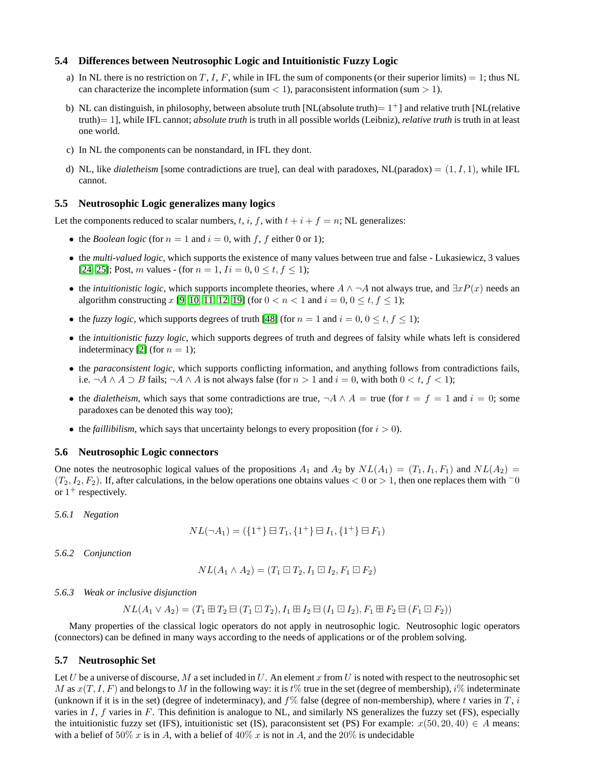## **5.4 Differences between Neutrosophic Logic and Intuitionistic Fuzzy Logic**

- a) In NL there is no restriction on T, I, F, while in IFL the sum of components (or their superior limits) = 1; thus NL can characterize the incomplete information (sum  $<$  1), paraconsistent information (sum  $>$  1).
- b) NL can distinguish, in philosophy, between absolute truth [NL(absolute truth)=  $1^+$ ] and relative truth [NL(relative truth)= 1], while IFL cannot; *absolute truth* is truth in all possible worlds (Leibniz), *relative truth* is truth in at least one world.
- c) In NL the components can be nonstandard, in IFL they dont.
- d) NL, like *dialetheism* [some contradictions are true], can deal with paradoxes, NL(paradox) =  $(1, I, 1)$ , while IFL cannot.

#### **5.5 Neutrosophic Logic generalizes many logics**

Let the components reduced to scalar numbers, t, i, f, with  $t + i + f = n$ ; NL generalizes:

- the *Boolean logic* (for  $n = 1$  and  $i = 0$ , with f, f either 0 or 1);
- the *multi-valued logic*, which supports the existence of many values between true and false Lukasiewicz, 3 values [\[24,](#page-18-18) [25\]](#page-18-19); Post, m values - (for  $n = 1$ ,  $I_i = 0$ ,  $0 \le t, f \le 1$ );
- the *intuitionistic logic*, which supports incomplete theories, where  $A \land \neg A$  not always true, and  $\exists x P(x)$  needs an algorithm constructing x [\[9,](#page-17-3) [10,](#page-17-4) [11,](#page-18-20) [12,](#page-18-21) [19\]](#page-18-22) (for  $0 < n < 1$  and  $i = 0, 0 \le t, f \le 1$ );
- the *fuzzy logic*, which supports degrees of truth [\[48\]](#page-19-18) (for  $n = 1$  and  $i = 0, 0 \le t, f \le 1$ );
- the *intuitionistic fuzzy logic*, which supports degrees of truth and degrees of falsity while whats left is considered indeterminacy [\[2\]](#page-17-1) (for  $n = 1$ );
- the *paraconsistent logic*, which supports conflicting information, and anything follows from contradictions fails, i.e.  $\neg A \land A \supset B$  fails;  $\neg A \land A$  is not always false (for  $n > 1$  and  $i = 0$ , with both  $0 < t$ ,  $f < 1$ );
- the *dialetheism*, which says that some contradictions are true,  $\neg A \wedge A = \text{true}$  (for  $t = f = 1$  and  $i = 0$ ; some paradoxes can be denoted this way too);
- the *faillibilism*, which says that uncertainty belongs to every proposition (for  $i > 0$ ).

## **5.6 Neutrosophic Logic connectors**

One notes the neutrosophic logical values of the propositions  $A_1$  and  $A_2$  by  $NL(A_1) = (T_1, I_1, F_1)$  and  $NL(A_2) =$  $(T_2, I_2, F_2)$ . If, after calculations, in the below operations one obtains values < 0 or > 1, then one replaces them with  $-0$ or  $1^+$  respectively.

*5.6.1 Negation*

$$
NL(\neg A_1) = (\{1^+\} \boxminus T_1, \{1^+\} \boxminus I_1, \{1^+\} \boxminus F_1)
$$

*5.6.2 Conjunction*

$$
NL(A_1 \wedge A_2) = (T_1 \boxdot T_2, I_1 \boxdot I_2, F_1 \boxdot F_2)
$$

*5.6.3 Weak or inclusive disjunction*

$$
NL(A_1 \vee A_2) = (T_1 \boxplus T_2 \boxminus (T_1 \boxdot T_2), I_1 \boxplus I_2 \boxminus (I_1 \boxdot I_2), F_1 \boxplus F_2 \boxminus (F_1 \boxdot F_2))
$$

Many properties of the classical logic operators do not apply in neutrosophic logic. Neutrosophic logic operators (connectors) can be defined in many ways according to the needs of applications or of the problem solving.

#### **5.7 Neutrosophic Set**

Let U be a universe of discourse, M a set included in U. An element x from U is noted with respect to the neutrosophic set M as  $x(T, I, F)$  and belongs to M in the following way: it is t% true in the set (degree of membership), i% indeterminate (unknown if it is in the set) (degree of indeterminacy), and  $f\%$  false (degree of non-membership), where t varies in T, i varies in  $I$ ,  $f$  varies in  $F$ . This definition is analogue to NL, and similarly NS generalizes the fuzzy set (FS), especially the intuitionistic fuzzy set (IFS), intuitionistic set (IS), paraconsistent set (PS) For example:  $x(50, 20, 40) \in A$  means: with a belief of  $50\% x$  is in A, with a belief of  $40\% x$  is not in A, and the  $20\%$  is undecidable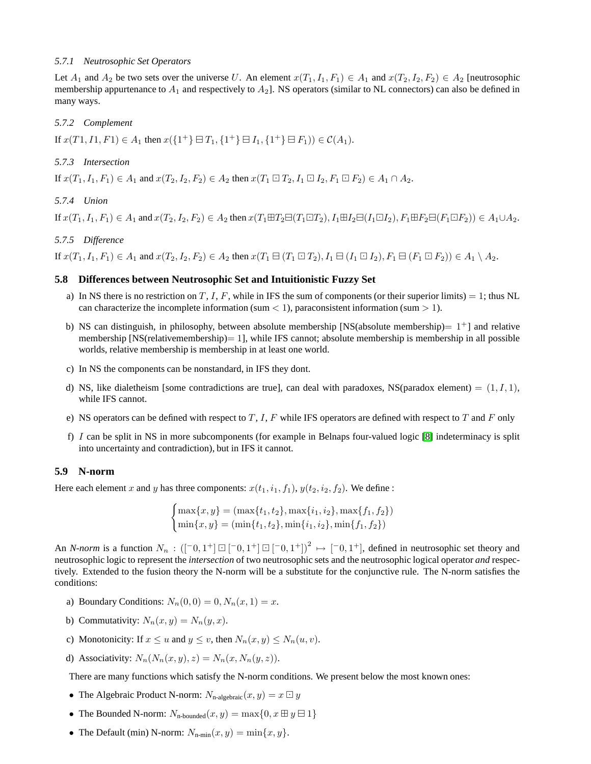#### *5.7.1 Neutrosophic Set Operators*

Let  $A_1$  and  $A_2$  be two sets over the universe U. An element  $x(T_1, I_1, F_1) \in A_1$  and  $x(T_2, I_2, F_2) \in A_2$  [neutrosophic membership appurtenance to  $A_1$  and respectively to  $A_2$ ]. NS operators (similar to NL connectors) can also be defined in many ways.

#### *5.7.2 Complement*

If  $x(T1, I1, F1) \in A_1$  then  $x(\{1^+\} \boxminus T_1, \{1^+\} \boxminus T_1, \{1^+\} \boxminus F_1)\in C(A_1)$ .

## *5.7.3 Intersection*

If  $x(T_1, I_1, F_1) \in A_1$  and  $x(T_2, I_2, F_2) \in A_2$  then  $x(T_1 \square T_2, I_1 \square I_2, F_1 \square F_2) \in A_1 \cap A_2$ .

## *5.7.4 Union*

If  $x(T_1, I_1, F_1) \in A_1$  and  $x(T_2, I_2, F_2) \in A_2$  then  $x(T_1 \boxplus T_2 \boxminus (T_1 \boxdot T_2), I_1 \boxplus I_2 \boxminus (I_1 \boxdot I_2), F_1 \boxplus F_2 \boxminus (F_1 \boxdot F_2)) \in A_1 \cup A_2$ .

# *5.7.5 Difference*

If  $x(T_1, I_1, F_1) \in A_1$  and  $x(T_2, I_2, F_2) \in A_2$  then  $x(T_1 \boxdot T_1 \boxdot T_2)$ ,  $I_1 \boxdot (I_1 \boxdot I_2)$ ,  $F_1 \boxdot (F_1 \boxdot F_2) \in A_1 \setminus A_2$ .

## **5.8 Differences between Neutrosophic Set and Intuitionistic Fuzzy Set**

- a) In NS there is no restriction on T, I, F, while in IFS the sum of components (or their superior limits) = 1; thus NL can characterize the incomplete information (sum  $<$  1), paraconsistent information (sum  $>$  1).
- b) NS can distinguish, in philosophy, between absolute membership [NS(absolute membership)=  $1^+$ ] and relative membership [NS(relativemembership)= 1], while IFS cannot; absolute membership is membership in all possible worlds, relative membership is membership in at least one world.
- c) In NS the components can be nonstandard, in IFS they dont.
- d) NS, like dialetheism [some contradictions are true], can deal with paradoxes, NS(paradox element) =  $(1, I, 1)$ , while IFS cannot.
- e) NS operators can be defined with respect to  $T$ ,  $I$ ,  $F$  while IFS operators are defined with respect to  $T$  and  $F$  only
- f) I can be split in NS in more subcomponents (for example in Belnaps four-valued logic [\[8\]](#page-17-5) indeterminacy is split into uncertainty and contradiction), but in IFS it cannot.

## **5.9 N-norm**

Here each element x and y has three components:  $x(t_1, i_1, f_1)$ ,  $y(t_2, i_2, f_2)$ . We define :

$$
\begin{cases} \max\{x, y\} = (\max\{t_1, t_2\}, \max\{i_1, i_2\}, \max\{f_1, f_2\})\\ \min\{x, y\} = (\min\{t_1, t_2\}, \min\{i_1, i_2\}, \min\{f_1, f_2\}) \end{cases}
$$

An *N-norm* is a function  $N_n : ([-0,1^+] \square [-0,1^+] \square [-0,1^+])^2 \mapsto [-0,1^+]$ , defined in neutrosophic set theory and neutrosophic logic to represent the *intersection* of two neutrosophic sets and the neutrosophic logical operator *and* respectively. Extended to the fusion theory the N-norm will be a substitute for the conjunctive rule. The N-norm satisfies the conditions:

- a) Boundary Conditions:  $N_n(0, 0) = 0, N_n(x, 1) = x$ .
- b) Commutativity:  $N_n(x, y) = N_n(y, x)$ .
- c) Monotonicity: If  $x \le u$  and  $y \le v$ , then  $N_n(x, y) \le N_n(u, v)$ .
- d) Associativity:  $N_n(N_n(x, y), z) = N_n(x, N_n(y, z)).$

There are many functions which satisfy the N-norm conditions. We present below the most known ones:

- The Algebraic Product N-norm:  $N_{\text{n-algebraic}}(x, y) = x \boxdot y$
- The Bounded N-norm:  $N_{\text{n-bounded}}(x, y) = \max\{0, x \boxplus y \boxminus 1\}$
- The Default (min) N-norm:  $N_{n-min}(x, y) = min\{x, y\}.$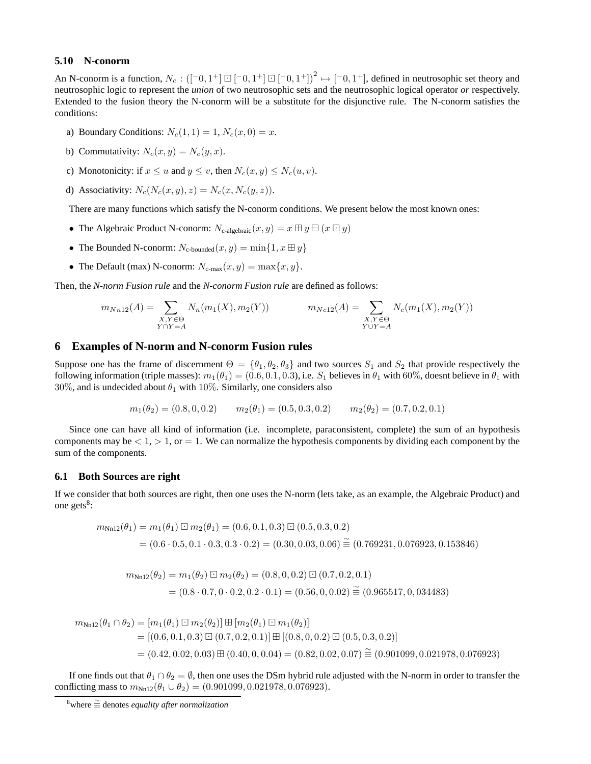#### **5.10 N-conorm**

An N-conorm is a function,  $N_c$ :  $([-0,1^+] \square [-0,1^+] \square [-0,1^+])^2 \mapsto [-0,1^+]$ , defined in neutrosophic set theory and neutrosophic logic to represent the *union* of two neutrosophic sets and the neutrosophic logical operator *or* respectively. Extended to the fusion theory the N-conorm will be a substitute for the disjunctive rule. The N-conorm satisfies the conditions:

- a) Boundary Conditions:  $N_c(1, 1) = 1$ ,  $N_c(x, 0) = x$ .
- b) Commutativity:  $N_c(x, y) = N_c(y, x)$ .
- c) Monotonicity: if  $x \le u$  and  $y \le v$ , then  $N_c(x, y) \le N_c(u, v)$ .
- d) Associativity:  $N_c(N_c(x, y), z) = N_c(x, N_c(y, z)).$

There are many functions which satisfy the N-conorm conditions. We present below the most known ones:

- The Algebraic Product N-conorm:  $N_{c\text{-alebraic}}(x, y) = x \boxplus y \boxminus (x \boxdot y)$
- The Bounded N-conorm:  $N_{\text{c-bounded}}(x, y) = \min\{1, x \boxplus y\}$
- The Default (max) N-conorm:  $N_{c\text{-max}}(x, y) = \max\{x, y\}.$

Then, the *N-norm Fusion rule* and the *N-conorm Fusion rule* are defined as follows:

$$
m_{Nn12}(A) = \sum_{\substack{X,Y \in \Theta \\ Y \cap Y = A}} N_n(m_1(X), m_2(Y)) \qquad m_{Nc12}(A) = \sum_{\substack{X,Y \in \Theta \\ Y \cup Y = A}} N_c(m_1(X), m_2(Y))
$$

## **6 Examples of N-norm and N-conorm Fusion rules**

Suppose one has the frame of discernment  $\Theta = \{\theta_1, \theta_2, \theta_3\}$  and two sources  $S_1$  and  $S_2$  that provide respectively the following information (triple masses):  $m_1(\theta_1) = (0.6, 0.1, 0.3)$ , i.e.  $S_1$  believes in  $\theta_1$  with 60%, doesnt believe in  $\theta_1$  with 30%, and is undecided about  $\theta_1$  with 10%. Similarly, one considers also

 $m_1(\theta_2) = (0.8, 0, 0.2)$   $m_2(\theta_1) = (0.5, 0.3, 0.2)$   $m_2(\theta_2) = (0.7, 0.2, 0.1)$ 

Since one can have all kind of information (i.e. incomplete, paraconsistent, complete) the sum of an hypothesis components may be  $< 1, > 1$ , or  $= 1$ . We can normalize the hypothesis components by dividing each component by the sum of the components.

## **6.1 Both Sources are right**

If we consider that both sources are right, then one uses the N-norm (lets take, as an example, the Algebraic Product) and one gets<sup>8</sup>:

$$
m_{\text{Nn12}}(\theta_1) = m_1(\theta_1) \boxdot m_2(\theta_1) = (0.6, 0.1, 0.3) \boxdot (0.5, 0.3, 0.2)
$$
  
= (0.6 · 0.5, 0.1 · 0.3, 0.3 · 0.2) = (0.30, 0.03, 0.06)  $\approx$  (0.769231, 0.076923, 0.153846)

$$
m_{\text{Nu}12}(\theta_2) = m_1(\theta_2) \boxdot m_2(\theta_2) = (0.8, 0, 0.2) \boxdot (0.7, 0.2, 0.1)
$$
  
= (0.8 · 0.7, 0 · 0.2, 0.2 · 0.1) = (0.56, 0, 0.02)  $\cong$  (0.965517, 0, 034483)

$$
m_{\text{Nn12}}(\theta_1 \cap \theta_2) = [m_1(\theta_1) \boxdot m_2(\theta_2)] \boxplus [m_2(\theta_1) \boxdot m_1(\theta_2)]
$$
  
= [(0.6, 0.1, 0.3)  $\boxdot$  (0.7, 0.2, 0.1)]  $\boxplus$  [(0.8, 0, 0.2)  $\boxdot$  (0.5, 0.3, 0.2)]  
= (0.42, 0.02, 0.03)  $\boxplus$  (0.40, 0, 0.04) = (0.82, 0.02, 0.07)  $\cong$  (0.901099, 0.021978, 0.076923)

If one finds out that  $\theta_1 \cap \theta_2 = \emptyset$ , then one uses the DSm hybrid rule adjusted with the N-norm in order to transfer the conflicting mass to  $m_{\text{Nn12}}(\theta_1 \cup \theta_2) = (0.901099, 0.021978, 0.076923).$ 

<sup>8</sup>where <sup>∼</sup> ≡ denotes *equality after normalization*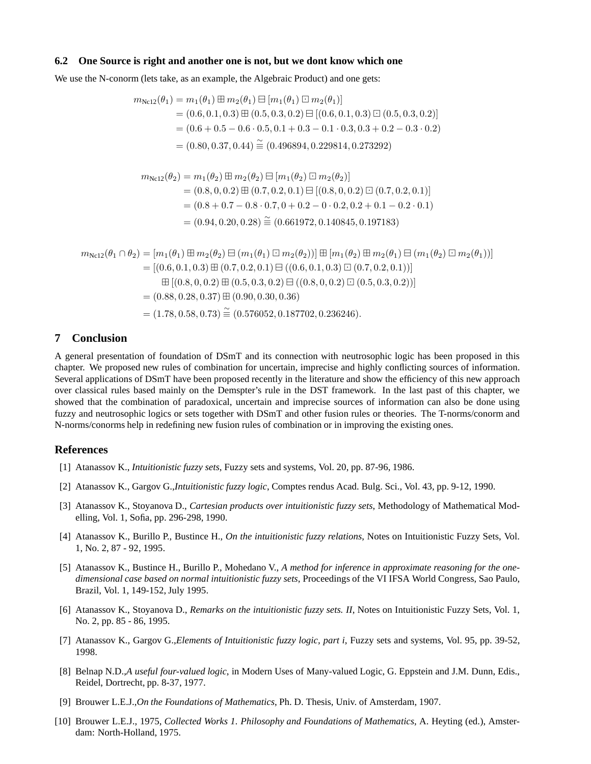#### **6.2 One Source is right and another one is not, but we dont know which one**

We use the N-conorm (lets take, as an example, the Algebraic Product) and one gets:

$$
m_{\text{Ne12}}(\theta_1) = m_1(\theta_1) \boxplus m_2(\theta_1) \boxminus [m_1(\theta_1) \boxdot m_2(\theta_1)]
$$
  
= (0.6, 0.1, 0.3)  $\boxplus$  (0.5, 0.3, 0.2)  $\boxminus$  [(0.6, 0.1, 0.3)  $\boxdot$  (0.5, 0.3, 0.2)]  
= (0.6 + 0.5 - 0.6 \cdot 0.5, 0.1 + 0.3 - 0.1 \cdot 0.3, 0.3 + 0.2 - 0.3 \cdot 0.2)  
= (0.80, 0.37, 0.44)  $\cong$  (0.496894, 0.229814, 0.273292)

$$
m_{\text{Ne12}}(\theta_2) = m_1(\theta_2) \boxplus m_2(\theta_2) \boxminus [m_1(\theta_2) \boxdot m_2(\theta_2)]
$$
  
= (0.8, 0, 0.2)  $\boxplus$  (0.7, 0.2, 0.1)  $\boxminus$  [(0.8, 0, 0.2)  $\boxdot$  (0.7, 0.2, 0.1)]  
= (0.8 + 0.7 - 0.8 \cdot 0.7, 0 + 0.2 - 0 \cdot 0.2, 0.2 + 0.1 - 0.2 \cdot 0.1)  
= (0.94, 0.20, 0.28)  $\cong$  (0.661972, 0.140845, 0.197183)

$$
m_{\text{Ne12}}(\theta_1 \cap \theta_2) = [m_1(\theta_1) \boxplus m_2(\theta_2) \boxminus (m_1(\theta_1) \boxminus m_2(\theta_2))] \boxplus [m_1(\theta_2) \boxplus m_2(\theta_1) \boxminus (m_1(\theta_2) \boxminus m_2(\theta_1))]
$$
  
\n
$$
= [(0.6, 0.1, 0.3) \boxplus (0.7, 0.2, 0.1) \boxminus ((0.6, 0.1, 0.3) \boxminus (0.7, 0.2, 0.1))]
$$
  
\n
$$
\boxplus [(0.8, 0, 0.2) \boxplus (0.5, 0.3, 0.2) \boxminus ((0.8, 0, 0.2) \boxminus (0.5, 0.3, 0.2))]
$$
  
\n
$$
= (0.88, 0.28, 0.37) \boxplus (0.90, 0.30, 0.36)
$$
  
\n
$$
= (1.78, 0.58, 0.73) \cong (0.576052, 0.187702, 0.236246).
$$

# **7 Conclusion**

A general presentation of foundation of DSmT and its connection with neutrosophic logic has been proposed in this chapter. We proposed new rules of combination for uncertain, imprecise and highly conflicting sources of information. Several applications of DSmT have been proposed recently in the literature and show the efficiency of this new approach over classical rules based mainly on the Demspter's rule in the DST framework. In the last past of this chapter, we showed that the combination of paradoxical, uncertain and imprecise sources of information can also be done using fuzzy and neutrosophic logics or sets together with DSmT and other fusion rules or theories. The T-norms/conorm and N-norms/conorms help in redefining new fusion rules of combination or in improving the existing ones.

# <span id="page-17-1"></span><span id="page-17-0"></span>**References**

- [1] Atanassov K., *Intuitionistic fuzzy sets*, Fuzzy sets and systems, Vol. 20, pp. 87-96, 1986.
- [2] Atanassov K., Gargov G.,*Intuitionistic fuzzy logic*, Comptes rendus Acad. Bulg. Sci., Vol. 43, pp. 9-12, 1990.
- [3] Atanassov K., Stoyanova D., *Cartesian products over intuitionistic fuzzy sets*, Methodology of Mathematical Modelling, Vol. 1, Sofia, pp. 296-298, 1990.
- [4] Atanassov K., Burillo P., Bustince H., *On the intuitionistic fuzzy relations*, Notes on Intuitionistic Fuzzy Sets, Vol. 1, No. 2, 87 - 92, 1995.
- [5] Atanassov K., Bustince H., Burillo P., Mohedano V., *A method for inference in approximate reasoning for the onedimensional case based on normal intuitionistic fuzzy sets*, Proceedings of the VI IFSA World Congress, Sao Paulo, Brazil, Vol. 1, 149-152, July 1995.
- [6] Atanassov K., Stoyanova D., *Remarks on the intuitionistic fuzzy sets. II*, Notes on Intuitionistic Fuzzy Sets, Vol. 1, No. 2, pp. 85 - 86, 1995.
- <span id="page-17-5"></span><span id="page-17-2"></span>[7] Atanassov K., Gargov G.,*Elements of Intuitionistic fuzzy logic, part i*, Fuzzy sets and systems, Vol. 95, pp. 39-52, 1998.
- [8] Belnap N.D.,*A useful four-valued logic*, in Modern Uses of Many-valued Logic, G. Eppstein and J.M. Dunn, Edis., Reidel, Dortrecht, pp. 8-37, 1977.
- <span id="page-17-3"></span>[9] Brouwer L.E.J.,*On the Foundations of Mathematics*, Ph. D. Thesis, Univ. of Amsterdam, 1907.
- <span id="page-17-4"></span>[10] Brouwer L.E.J., 1975, *Collected Works 1. Philosophy and Foundations of Mathematics*, A. Heyting (ed.), Amsterdam: North-Holland, 1975.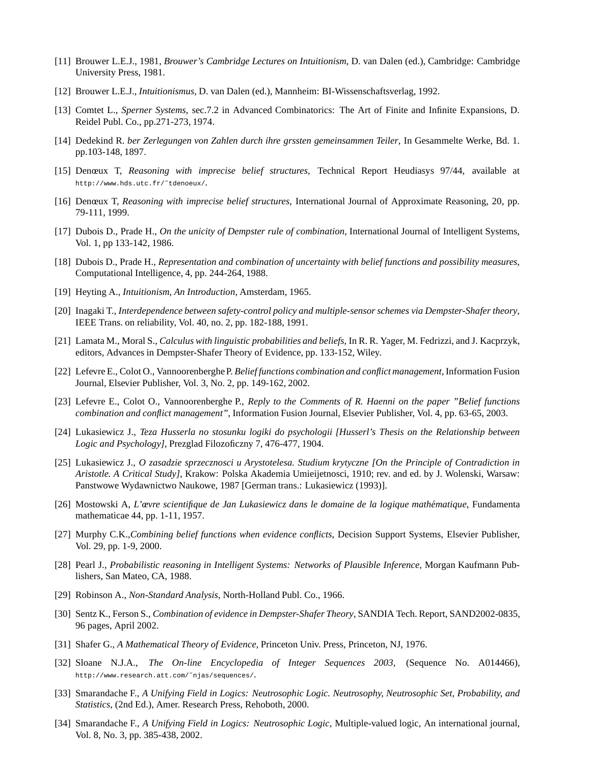- <span id="page-18-21"></span><span id="page-18-20"></span>[11] Brouwer L.E.J., 1981, *Brouwer's Cambridge Lectures on Intuitionism*, D. van Dalen (ed.), Cambridge: Cambridge University Press, 1981.
- <span id="page-18-9"></span>[12] Brouwer L.E.J., *Intuitionismus*, D. van Dalen (ed.), Mannheim: BI-Wissenschaftsverlag, 1992.
- <span id="page-18-8"></span>[13] Comtet L., *Sperner Systems*, sec.7.2 in Advanced Combinatorics: The Art of Finite and Infinite Expansions, D. Reidel Publ. Co., pp.271-273, 1974.
- <span id="page-18-13"></span>[14] Dedekind R. *ber Zerlegungen von Zahlen durch ihre grssten gemeinsammen Teiler*, In Gesammelte Werke, Bd. 1. pp.103-148, 1897.
- <span id="page-18-14"></span>[15] Denœux T, *Reasoning with imprecise belief structures*, Technical Report Heudiasys 97/44, available at http://www.hds.utc.fr/˜tdenoeux/.
- <span id="page-18-1"></span>[16] Denœux T, *Reasoning with imprecise belief structures*, International Journal of Approximate Reasoning, 20, pp. 79-111, 1999.
- <span id="page-18-11"></span>[17] Dubois D., Prade H., *On the unicity of Dempster rule of combination*, International Journal of Intelligent Systems, Vol. 1, pp 133-142, 1986.
- <span id="page-18-22"></span>[18] Dubois D., Prade H., *Representation and combination of uncertainty with belief functions and possibility measures*, Computational Intelligence, 4, pp. 244-264, 1988.
- <span id="page-18-3"></span>[19] Heyting A., *Intuitionism, An Introduction*, Amsterdam, 1965.
- <span id="page-18-12"></span>[20] Inagaki T., *Interdependence between safety-control policy and multiple-sensor schemes via Dempster-Shafer theory*, IEEE Trans. on reliability, Vol. 40, no. 2, pp. 182-188, 1991.
- [21] Lamata M., Moral S., *Calculus with linguistic probabilities and beliefs*, In R. R. Yager, M. Fedrizzi, and J. Kacprzyk, editors, Advances in Dempster-Shafer Theory of Evidence, pp. 133-152, Wiley.
- <span id="page-18-7"></span><span id="page-18-5"></span>[22] Lefevre E., Colot O., VannoorenbergheP. *Belief functions combination and conflict management*, Information Fusion Journal, Elsevier Publisher, Vol. 3, No. 2, pp. 149-162, 2002.
- [23] Lefevre E., Colot O., Vannoorenberghe P., *Reply to the Comments of R. Haenni on the paper "Belief functions combination and conflict management"*, Information Fusion Journal, Elsevier Publisher, Vol. 4, pp. 63-65, 2003.
- <span id="page-18-18"></span>[24] Lukasiewicz J., *Teza Husserla no stosunku logiki do psychologii [Husserl's Thesis on the Relationship between Logic and Psychology]*, Prezglad Filozoficzny 7, 476-477, 1904.
- <span id="page-18-19"></span>[25] Lukasiewicz J., *O zasadzie sprzecznosci u Arystotelesa. Studium krytyczne [On the Principle of Contradiction in Aristotle. A Critical Study]*, Krakow: Polska Akademia Umieijetnosci, 1910; rev. and ed. by J. Wolenski, Warsaw: Panstwowe Wydawnictwo Naukowe, 1987 [German trans.: Lukasiewicz (1993)].
- [26] Mostowski A, *L'œvre scientifique de Jan Lukasiewicz dans le domaine de la logique mathematique ´* , Fundamenta mathematicae 44, pp. 1-11, 1957.
- <span id="page-18-4"></span>[27] Murphy C.K.,*Combining belief functions when evidence conflicts*, Decision Support Systems, Elsevier Publisher, Vol. 29, pp. 1-9, 2000.
- <span id="page-18-17"></span><span id="page-18-2"></span>[28] Pearl J., *Probabilistic reasoning in Intelligent Systems: Networks of Plausible Inference*, Morgan Kaufmann Publishers, San Mateo, CA, 1988.
- <span id="page-18-6"></span>[29] Robinson A., *Non-Standard Analysis*, North-Holland Publ. Co., 1966.
- [30] Sentz K., Ferson S., *Combination of evidence in Dempster-Shafer Theory*, SANDIA Tech. Report, SAND2002-0835, 96 pages, April 2002.
- <span id="page-18-10"></span><span id="page-18-0"></span>[31] Shafer G., *A Mathematical Theory of Evidence*, Princeton Univ. Press, Princeton, NJ, 1976.
- [32] Sloane N.J.A., *The On-line Encyclopedia of Integer Sequences 2003*, (Sequence No. A014466), http://www.research.att.com/˜njas/sequences/.
- <span id="page-18-15"></span>[33] Smarandache F., *A Unifying Field in Logics: Neutrosophic Logic. Neutrosophy, Neutrosophic Set, Probability, and Statistics*, (2nd Ed.), Amer. Research Press, Rehoboth, 2000.
- <span id="page-18-16"></span>[34] Smarandache F., *A Unifying Field in Logics: Neutrosophic Logic*, Multiple-valued logic, An international journal, Vol. 8, No. 3, pp. 385-438, 2002.